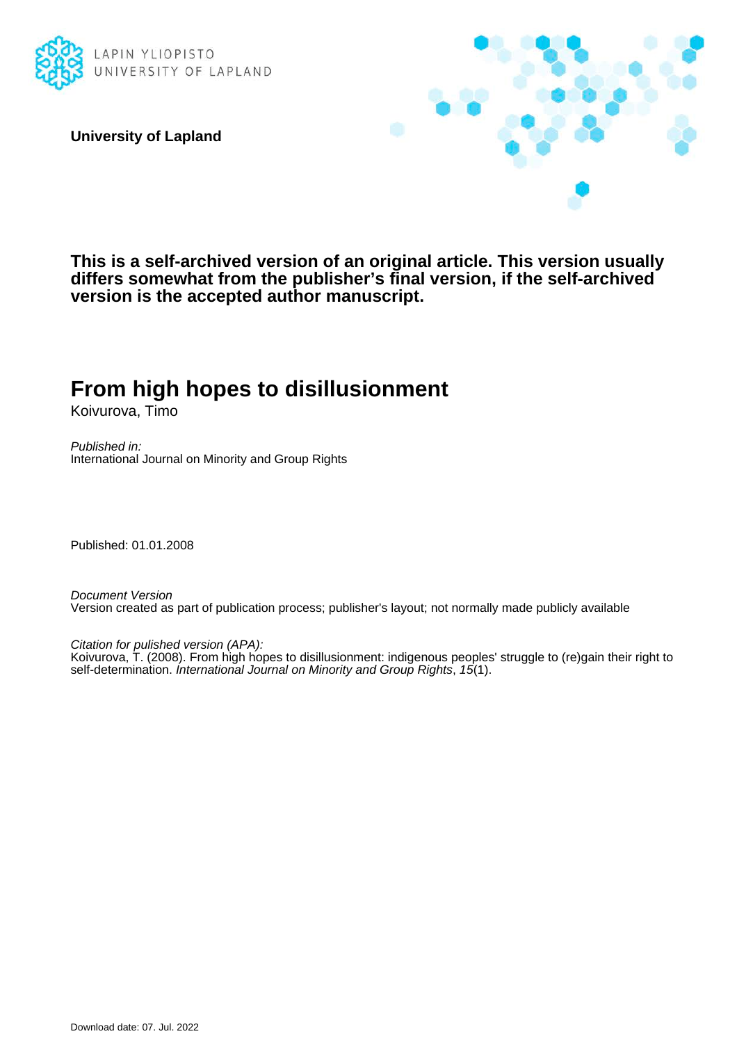

**University of Lapland**



**This is a self-archived version of an original article. This version usually differs somewhat from the publisher's final version, if the self-archived version is the accepted author manuscript.**

# **From high hopes to disillusionment**

Koivurova, Timo

Published in: International Journal on Minority and Group Rights

Published: 01.01.2008

Document Version Version created as part of publication process; publisher's layout; not normally made publicly available

Citation for pulished version (APA):

Koivurova, T. (2008). From high hopes to disillusionment: indigenous peoples' struggle to (re)gain their right to self-determination. International Journal on Minority and Group Rights, 15(1).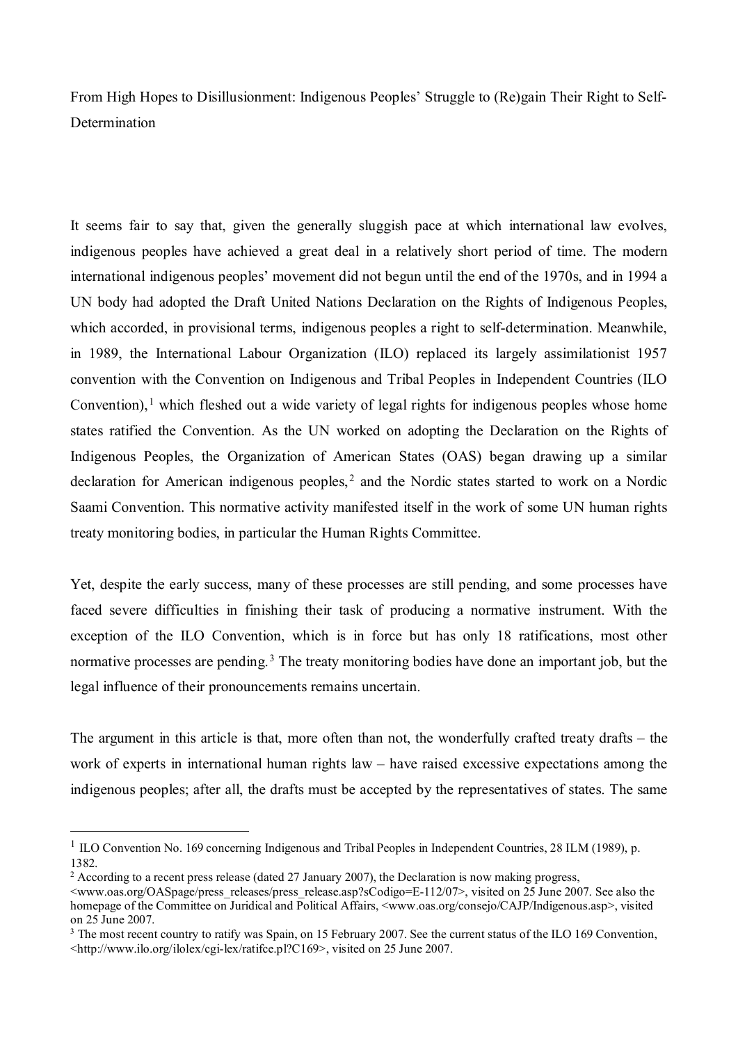From High Hopes to Disillusionment: Indigenous Peoples' Struggle to (Re)gain Their Right to Self-Determination

It seems fair to say that, given the generally sluggish pace at which international law evolves, indigenous peoples have achieved a great deal in a relatively short period of time. The modern international indigenous peoples' movement did not begun until the end of the 1970s, and in 1994 a UN body had adopted the Draft United Nations Declaration on the Rights of Indigenous Peoples, which accorded, in provisional terms, indigenous peoples a right to self-determination. Meanwhile, in 1989, the International Labour Organization (ILO) replaced its largely assimilationist 1957 convention with the Convention on Indigenous and Tribal Peoples in Independent Countries (ILO Convention), <sup>[1](#page-1-0)</sup> which fleshed out a wide variety of legal rights for indigenous peoples whose home states ratified the Convention. As the UN worked on adopting the Declaration on the Rights of Indigenous Peoples, the Organization of American States (OAS) began drawing up a similar declaration for American indigenous peoples,<sup>[2](#page-1-1)</sup> and the Nordic states started to work on a Nordic Saami Convention. This normative activity manifested itself in the work of some UN human rights treaty monitoring bodies, in particular the Human Rights Committee.

Yet, despite the early success, many of these processes are still pending, and some processes have faced severe difficulties in finishing their task of producing a normative instrument. With the exception of the ILO Convention, which is in force but has only 18 ratifications, most other normative processes are pending.<sup>[3](#page-1-2)</sup> The treaty monitoring bodies have done an important job, but the legal influence of their pronouncements remains uncertain.

The argument in this article is that, more often than not, the wonderfully crafted treaty drafts – the work of experts in international human rights law – have raised excessive expectations among the indigenous peoples; after all, the drafts must be accepted by the representatives of states. The same

<span id="page-1-0"></span><sup>&</sup>lt;sup>1</sup> ILO Convention No. 169 concerning Indigenous and Tribal Peoples in Independent Countries, 28 ILM (1989), p. 1382.

<span id="page-1-1"></span><sup>&</sup>lt;sup>2</sup> According to a recent press release (dated 27 January 2007), the Declaration is now making progress,

<sup>&</sup>lt;www.oas.org/OASpage/press\_releases/press\_release.asp?sCodigo=E-112/07>, visited on 25 June 2007. See also the homepage of the Committee on Juridical and Political Affairs, <www.oas.org/consejo/CAJP/Indigenous.asp>, visited on 25 June 2007.

<span id="page-1-2"></span><sup>&</sup>lt;sup>3</sup> The most recent country to ratify was Spain, on 15 February 2007. See the current status of the ILO 169 Convention, <http://www.ilo.org/ilolex/cgi-lex/ratifce.pl?C169>, visited on 25 June 2007.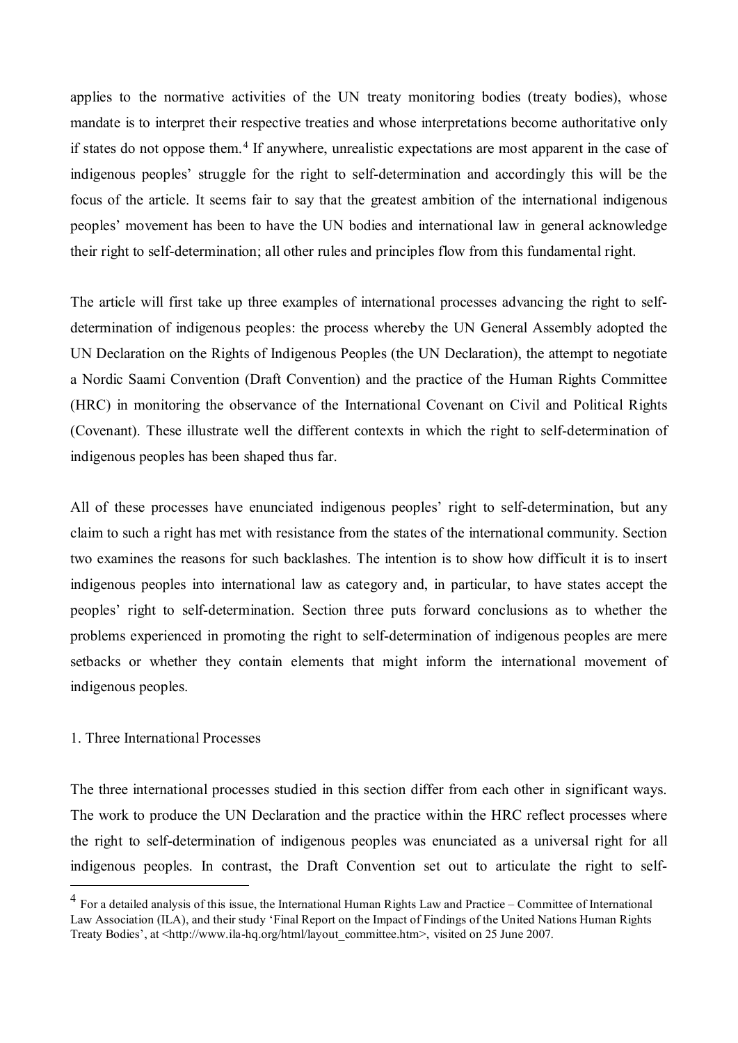applies to the normative activities of the UN treaty monitoring bodies (treaty bodies), whose mandate is to interpret their respective treaties and whose interpretations become authoritative only if states do not oppose them.<sup>[4](#page-2-0)</sup> If anywhere, unrealistic expectations are most apparent in the case of indigenous peoples' struggle for the right to self-determination and accordingly this will be the focus of the article. It seems fair to say that the greatest ambition of the international indigenous peoples' movement has been to have the UN bodies and international law in general acknowledge their right to self-determination; all other rules and principles flow from this fundamental right.

The article will first take up three examples of international processes advancing the right to selfdetermination of indigenous peoples: the process whereby the UN General Assembly adopted the UN Declaration on the Rights of Indigenous Peoples (the UN Declaration), the attempt to negotiate a Nordic Saami Convention (Draft Convention) and the practice of the Human Rights Committee (HRC) in monitoring the observance of the International Covenant on Civil and Political Rights (Covenant). These illustrate well the different contexts in which the right to self-determination of indigenous peoples has been shaped thus far.

All of these processes have enunciated indigenous peoples' right to self-determination, but any claim to such a right has met with resistance from the states of the international community. Section two examines the reasons for such backlashes. The intention is to show how difficult it is to insert indigenous peoples into international law as category and, in particular, to have states accept the peoples' right to self-determination. Section three puts forward conclusions as to whether the problems experienced in promoting the right to self-determination of indigenous peoples are mere setbacks or whether they contain elements that might inform the international movement of indigenous peoples.

## 1. Three International Processes

 $\overline{a}$ 

The three international processes studied in this section differ from each other in significant ways. The work to produce the UN Declaration and the practice within the HRC reflect processes where the right to self-determination of indigenous peoples was enunciated as a universal right for all indigenous peoples. In contrast, the Draft Convention set out to articulate the right to self-

<span id="page-2-0"></span> $<sup>4</sup>$  For a detailed analysis of this issue, the International Human Rights Law and Practice – Committee of International</sup> Law Association (ILA), and their study 'Final Report on the Impact of Findings of the United Nations Human Rights Treaty Bodies', at <http://www.ila-hq.org/html/layout\_committee.htm>, visited on 25 June 2007.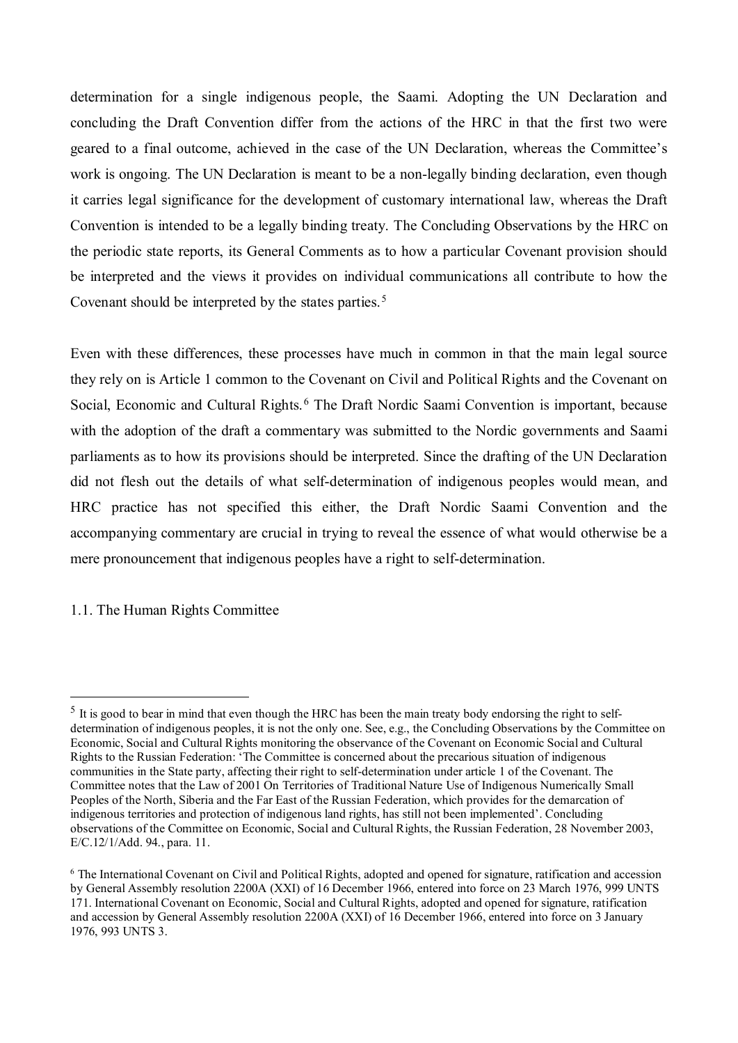determination for a single indigenous people, the Saami. Adopting the UN Declaration and concluding the Draft Convention differ from the actions of the HRC in that the first two were geared to a final outcome, achieved in the case of the UN Declaration, whereas the Committee's work is ongoing. The UN Declaration is meant to be a non-legally binding declaration, even though it carries legal significance for the development of customary international law, whereas the Draft Convention is intended to be a legally binding treaty. The Concluding Observations by the HRC on the periodic state reports, its General Comments as to how a particular Covenant provision should be interpreted and the views it provides on individual communications all contribute to how the Covenant should be interpreted by the states parties.<sup>[5](#page-3-0)</sup>

Even with these differences, these processes have much in common in that the main legal source they rely on is Article 1 common to the Covenant on Civil and Political Rights and the Covenant on Social, Economic and Cultural Rights. [6](#page-3-1) The Draft Nordic Saami Convention is important, because with the adoption of the draft a commentary was submitted to the Nordic governments and Saami parliaments as to how its provisions should be interpreted. Since the drafting of the UN Declaration did not flesh out the details of what self-determination of indigenous peoples would mean, and HRC practice has not specified this either, the Draft Nordic Saami Convention and the accompanying commentary are crucial in trying to reveal the essence of what would otherwise be a mere pronouncement that indigenous peoples have a right to self-determination.

# 1.1. The Human Rights Committee

<span id="page-3-0"></span> $<sup>5</sup>$  It is good to bear in mind that even though the HRC has been the main treaty body endorsing the right to self-</sup> determination of indigenous peoples, it is not the only one. See, e.g., the Concluding Observations by the Committee on Economic, Social and Cultural Rights monitoring the observance of the Covenant on Economic Social and Cultural Rights to the Russian Federation: 'The Committee is concerned about the precarious situation of indigenous communities in the State party, affecting their right to self-determination under article 1 of the Covenant. The Committee notes that the Law of 2001 On Territories of Traditional Nature Use of Indigenous Numerically Small Peoples of the North, Siberia and the Far East of the Russian Federation, which provides for the demarcation of indigenous territories and protection of indigenous land rights, has still not been implemented'. Concluding observations of the Committee on Economic, Social and Cultural Rights, the Russian Federation, 28 November 2003, E/C.12/1/Add. 94., para. 11.

<span id="page-3-1"></span><sup>&</sup>lt;sup>6</sup> The International Covenant on Civil and Political Rights, adopted and opened for signature, ratification and accession by General Assembly resolution 2200A (XXI) of 16 December 1966, entered into force on 23 March 1976, 999 UNTS 171. International Covenant on Economic, Social and Cultural Rights, adopted and opened for signature, ratification and accession by General Assembly resolution 2200A (XXI) of 16 December 1966, entered into force on 3 January 1976, 993 UNTS 3.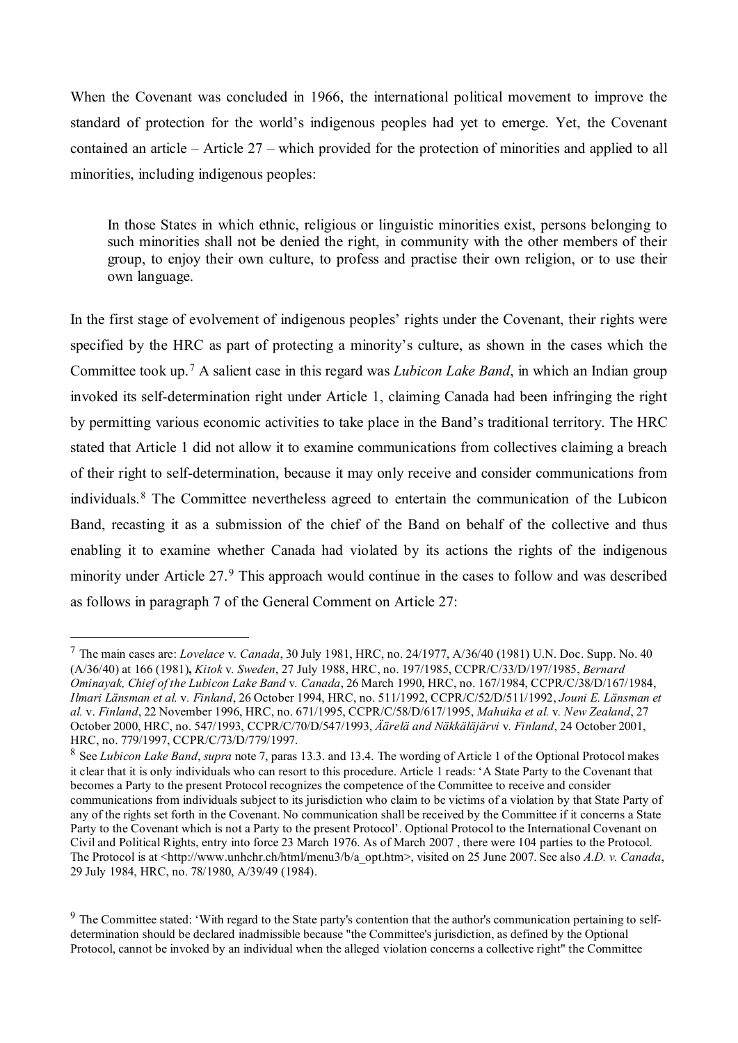When the Covenant was concluded in 1966, the international political movement to improve the standard of protection for the world's indigenous peoples had yet to emerge. Yet, the Covenant contained an article – Article 27 – which provided for the protection of minorities and applied to all minorities, including indigenous peoples:

In those States in which ethnic, religious or linguistic minorities exist, persons belonging to such minorities shall not be denied the right, in community with the other members of their group, to enjoy their own culture, to profess and practise their own religion, or to use their own language.

In the first stage of evolvement of indigenous peoples' rights under the Covenant, their rights were specified by the HRC as part of protecting a minority's culture, as shown in the cases which the Committee took up.[7](#page-4-0) A salient case in this regard was *Lubicon Lake Band*, in which an Indian group invoked its self-determination right under Article 1, claiming Canada had been infringing the right by permitting various economic activities to take place in the Band's traditional territory. The HRC stated that Article 1 did not allow it to examine communications from collectives claiming a breach of their right to self-determination, because it may only receive and consider communications from individuals.[8](#page-4-1) The Committee nevertheless agreed to entertain the communication of the Lubicon Band, recasting it as a submission of the chief of the Band on behalf of the collective and thus enabling it to examine whether Canada had violated by its actions the rights of the indigenous minority under Article 27.<sup>[9](#page-4-2)</sup> This approach would continue in the cases to follow and was described as follows in paragraph 7 of the General Comment on Article 27:

<span id="page-4-0"></span><sup>7</sup> The main cases are: *Lovelace* v*. Canada*, 30 July 1981, HRC, no. 24/1977, A/36/40 (1981) U.N. Doc. Supp. No. 40 (A/36/40) at 166 (1981)**,** *Kitok* v*. Sweden*, 27 July 1988, HRC, no. 197/1985, CCPR/C/33/D/197/1985, *Bernard Ominayak, Chief of the Lubicon Lake Band* v*. Canada*, 26 March 1990, HRC, no. 167/1984, CCPR/C/38/D/167/1984, *Ilmari Länsman et al.* v*. Finland*, 26 October 1994, HRC, no. 511/1992, CCPR/C/52/D/511/1992, *Jouni E. Länsman et al.* v. *Finland*, 22 November 1996, HRC, no. 671/1995, CCPR/C/58/D/617/1995, *Mahuika et al.* v*. New Zealand*, 27 October 2000, HRC, no. 547/1993, CCPR/C/70/D/547/1993, *Äärelä and Näkkäläjärvi* v*. Finland*, 24 October 2001, HRC, no. 779/1997, CCPR/C/73/D/779/1997.

<span id="page-4-1"></span><sup>8</sup> See *Lubicon Lake Band*, *supra* note 7, paras 13.3. and 13.4. The wording of Article 1 of the Optional Protocol makes it clear that it is only individuals who can resort to this procedure. Article 1 reads: 'A State Party to the Covenant that becomes a Party to the present Protocol recognizes the competence of the Committee to receive and consider communications from individuals subject to its jurisdiction who claim to be victims of a violation by that State Party of any of the rights set forth in the Covenant. No communication shall be received by the Committee if it concerns a State Party to the Covenant which is not a Party to the present Protocol'. Optional Protocol to the International Covenant on Civil and Political Rights, entry into force 23 March 1976. As of March 2007 , there were 104 parties to the Protocol. The Protocol is at [<http://www.unhchr.ch/html/menu3/b/a\\_opt.htm>](http://www.unhchr.ch/html/menu3/b/a_opt.htm), visited on 25 June 2007. See also *A.D. v. Canada*, 29 July 1984, HRC, no. 78/1980, A/39/49 (1984).

<span id="page-4-2"></span><sup>&</sup>lt;sup>9</sup> The Committee stated: 'With regard to the State party's contention that the author's communication pertaining to selfdetermination should be declared inadmissible because "the Committee's jurisdiction, as defined by the Optional Protocol, cannot be invoked by an individual when the alleged violation concerns a collective right" the Committee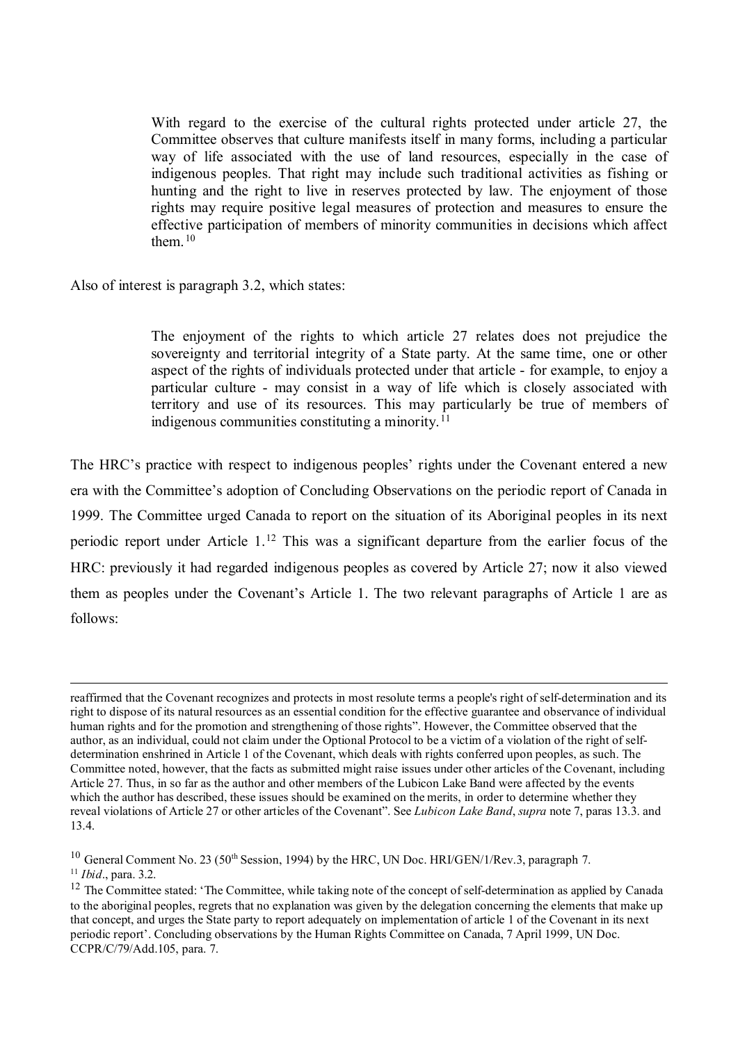With regard to the exercise of the cultural rights protected under article 27, the Committee observes that culture manifests itself in many forms, including a particular way of life associated with the use of land resources, especially in the case of indigenous peoples. That right may include such traditional activities as fishing or hunting and the right to live in reserves protected by law. The enjoyment of those rights may require positive legal measures of protection and measures to ensure the effective participation of members of minority communities in decisions which affect them.<sup>[10](#page-5-0)</sup>

Also of interest is paragraph 3.2, which states:

The enjoyment of the rights to which article 27 relates does not prejudice the sovereignty and territorial integrity of a State party. At the same time, one or other aspect of the rights of individuals protected under that article - for example, to enjoy a particular culture - may consist in a way of life which is closely associated with territory and use of its resources. This may particularly be true of members of indigenous communities constituting a minority. $11$ 

The HRC's practice with respect to indigenous peoples' rights under the Covenant entered a new era with the Committee's adoption of Concluding Observations on the periodic report of Canada in 1999. The Committee urged Canada to report on the situation of its Aboriginal peoples in its next periodic report under Article  $1<sup>12</sup>$  $1<sup>12</sup>$  $1<sup>12</sup>$  This was a significant departure from the earlier focus of the HRC: previously it had regarded indigenous peoples as covered by Article 27; now it also viewed them as peoples under the Covenant's Article 1. The two relevant paragraphs of Article 1 are as follows:

-

reaffirmed that the Covenant recognizes and protects in most resolute terms a people's right of self-determination and its right to dispose of its natural resources as an essential condition for the effective guarantee and observance of individual human rights and for the promotion and strengthening of those rights". However, the Committee observed that the author, as an individual, could not claim under the Optional Protocol to be a victim of a violation of the right of selfdetermination enshrined in Article 1 of the Covenant, which deals with rights conferred upon peoples, as such. The Committee noted, however, that the facts as submitted might raise issues under other articles of the Covenant, including Article 27. Thus, in so far as the author and other members of the Lubicon Lake Band were affected by the events which the author has described, these issues should be examined on the merits, in order to determine whether they reveal violations of Article 27 or other articles of the Covenant". See *Lubicon Lake Band*, *supra* note 7, paras 13.3. and 13.4.

<span id="page-5-0"></span><sup>&</sup>lt;sup>10</sup> General Comment No. 23 (50<sup>th</sup> Session, 1994) by the HRC, UN Doc. HRI/GEN/1/Rev.3, paragraph 7.<sup>11</sup> *Ibid.*, para. 3.2.

<span id="page-5-1"></span>

<span id="page-5-2"></span> $12$  The Committee stated: 'The Committee, while taking note of the concept of self-determination as applied by Canada to the aboriginal peoples, regrets that no explanation was given by the delegation concerning the elements that make up that concept, and urges the State party to report adequately on implementation of article 1 of the Covenant in its next periodic report'. Concluding observations by the Human Rights Committee on Canada, 7 April 1999, UN Doc. CCPR/C/79/Add.105, para. 7.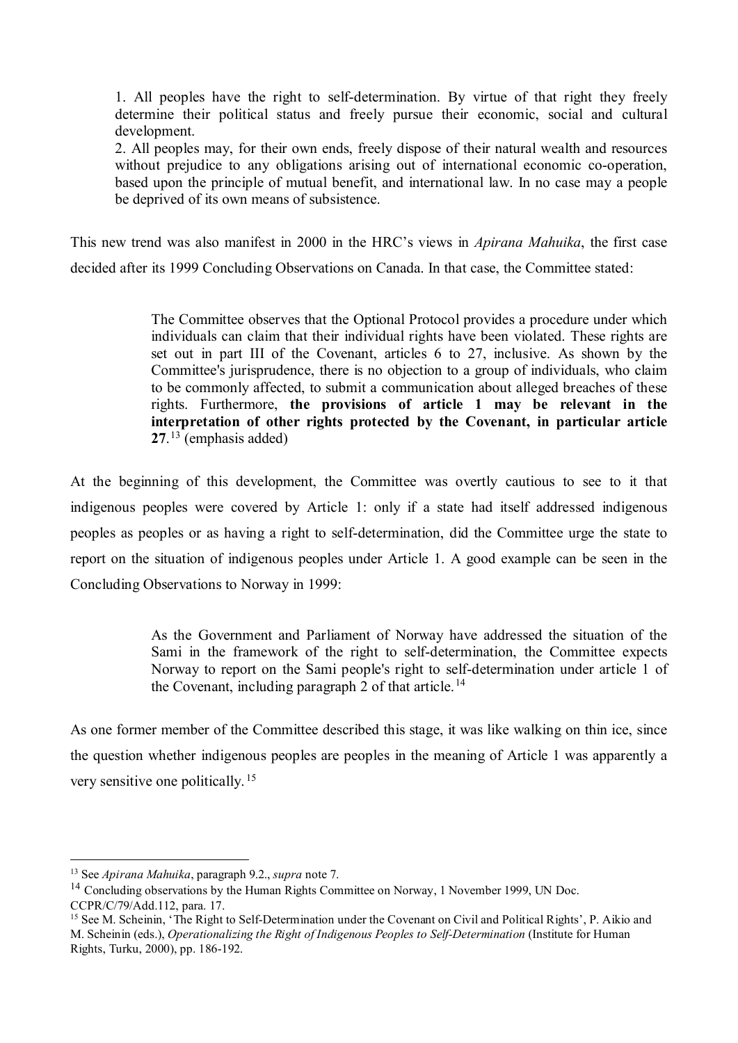1. All peoples have the right to self-determination. By virtue of that right they freely determine their political status and freely pursue their economic, social and cultural development.

2. All peoples may, for their own ends, freely dispose of their natural wealth and resources without prejudice to any obligations arising out of international economic co-operation, based upon the principle of mutual benefit, and international law. In no case may a people be deprived of its own means of subsistence.

This new trend was also manifest in 2000 in the HRC's views in *Apirana Mahuika*, the first case decided after its 1999 Concluding Observations on Canada. In that case, the Committee stated:

> The Committee observes that the Optional Protocol provides a procedure under which individuals can claim that their individual rights have been violated. These rights are set out in part III of the Covenant, articles 6 to 27, inclusive. As shown by the Committee's jurisprudence, there is no objection to a group of individuals, who claim to be commonly affected, to submit a communication about alleged breaches of these rights. Furthermore, **the provisions of article 1 may be relevant in the interpretation of other rights protected by the Covenant, in particular article 27**. [13](#page-6-0) (emphasis added)

At the beginning of this development, the Committee was overtly cautious to see to it that indigenous peoples were covered by Article 1: only if a state had itself addressed indigenous peoples as peoples or as having a right to self-determination, did the Committee urge the state to report on the situation of indigenous peoples under Article 1. A good example can be seen in the Concluding Observations to Norway in 1999:

> As the Government and Parliament of Norway have addressed the situation of the Sami in the framework of the right to self-determination, the Committee expects Norway to report on the Sami people's right to self-determination under article 1 of the Covenant, including paragraph 2 of that article.<sup>[14](#page-6-1)</sup>

As one former member of the Committee described this stage, it was like walking on thin ice, since the question whether indigenous peoples are peoples in the meaning of Article 1 was apparently a very sensitive one politically. [15](#page-6-2) 

<span id="page-6-0"></span><sup>13</sup> See *Apirana Mahuika*, paragraph 9.2., *supra* note 7.

<span id="page-6-1"></span><sup>&</sup>lt;sup>14</sup> Concluding observations by the Human Rights Committee on Norway, 1 November 1999, UN Doc. CCPR/C/79/Add.112, para. 17.

<span id="page-6-2"></span><sup>&</sup>lt;sup>15</sup> See M. Scheinin, 'The Right to Self-Determination under the Covenant on Civil and Political Rights', P. Aikio and M. Scheinin (eds.), *Operationalizing the Right of Indigenous Peoples to Self-Determination* (Institute for Human Rights, Turku, 2000), pp. 186-192.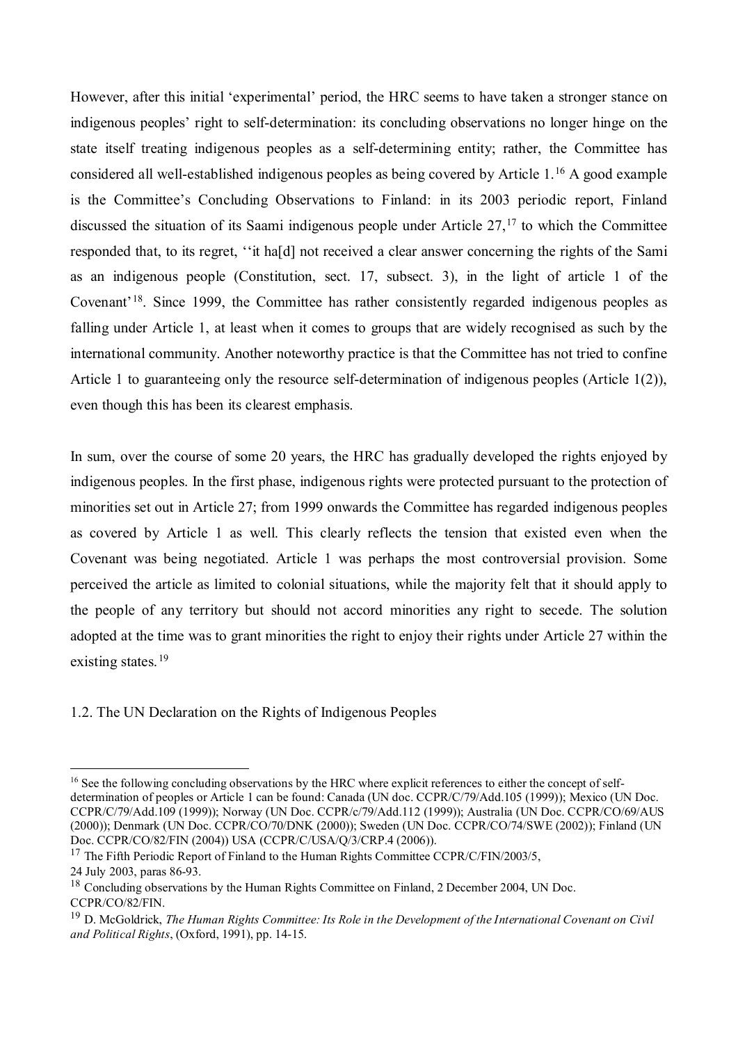However, after this initial 'experimental' period, the HRC seems to have taken a stronger stance on indigenous peoples' right to self-determination: its concluding observations no longer hinge on the state itself treating indigenous peoples as a self-determining entity; rather, the Committee has considered all well-established indigenous peoples as being covered by Article 1.[16](#page-7-0) A good example is the Committee's Concluding Observations to Finland: in its 2003 periodic report, Finland discussed the situation of its Saami indigenous people under Article  $27$ ,  $17$  to which the Committee responded that, to its regret, ''it ha[d] not received a clear answer concerning the rights of the Sami as an indigenous people (Constitution, sect. 17, subsect. 3), in the light of article 1 of the Covenant'[18](#page-7-2). Since 1999, the Committee has rather consistently regarded indigenous peoples as falling under Article 1, at least when it comes to groups that are widely recognised as such by the international community. Another noteworthy practice is that the Committee has not tried to confine Article 1 to guaranteeing only the resource self-determination of indigenous peoples (Article 1(2)), even though this has been its clearest emphasis.

In sum, over the course of some 20 years, the HRC has gradually developed the rights enjoyed by indigenous peoples. In the first phase, indigenous rights were protected pursuant to the protection of minorities set out in Article 27; from 1999 onwards the Committee has regarded indigenous peoples as covered by Article 1 as well. This clearly reflects the tension that existed even when the Covenant was being negotiated. Article 1 was perhaps the most controversial provision. Some perceived the article as limited to colonial situations, while the majority felt that it should apply to the people of any territory but should not accord minorities any right to secede. The solution adopted at the time was to grant minorities the right to enjoy their rights under Article 27 within the existing states.<sup>[19](#page-7-3)</sup>

1.2. The UN Declaration on the Rights of Indigenous Peoples

<span id="page-7-0"></span><sup>&</sup>lt;sup>16</sup> See the following concluding observations by the HRC where explicit references to either the concept of selfdetermination of peoples or Article 1 can be found: Canada (UN doc. CCPR/C/79/Add.105 (1999)); Mexico (UN Doc. CCPR/C/79/Add.109 (1999)); Norway (UN Doc. CCPR/c/79/Add.112 (1999)); Australia (UN Doc. CCPR/CO/69/AUS (2000)); Denmark (UN Doc. CCPR/CO/70/DNK (2000)); Sweden (UN Doc. CCPR/CO/74/SWE (2002)); Finland (UN Doc. CCPR/CO/82/FIN (2004)) USA (CCPR/C/USA/Q/3/CRP.4 (2006)).

<span id="page-7-1"></span> $17$  The Fifth Periodic Report of Finland to the Human Rights Committee CCPR/C/FIN/2003/5,

<sup>24</sup> July 2003, paras 86-93.

<span id="page-7-2"></span><sup>&</sup>lt;sup>18</sup> Concluding observations by the Human Rights Committee on Finland, 2 December 2004, UN Doc. CCPR/CO/82/FIN.

<span id="page-7-3"></span><sup>19</sup> D. McGoldrick, *The Human Rights Committee: Its Role in the Development of the International Covenant on Civil and Political Rights*, (Oxford, 1991), pp. 14-15.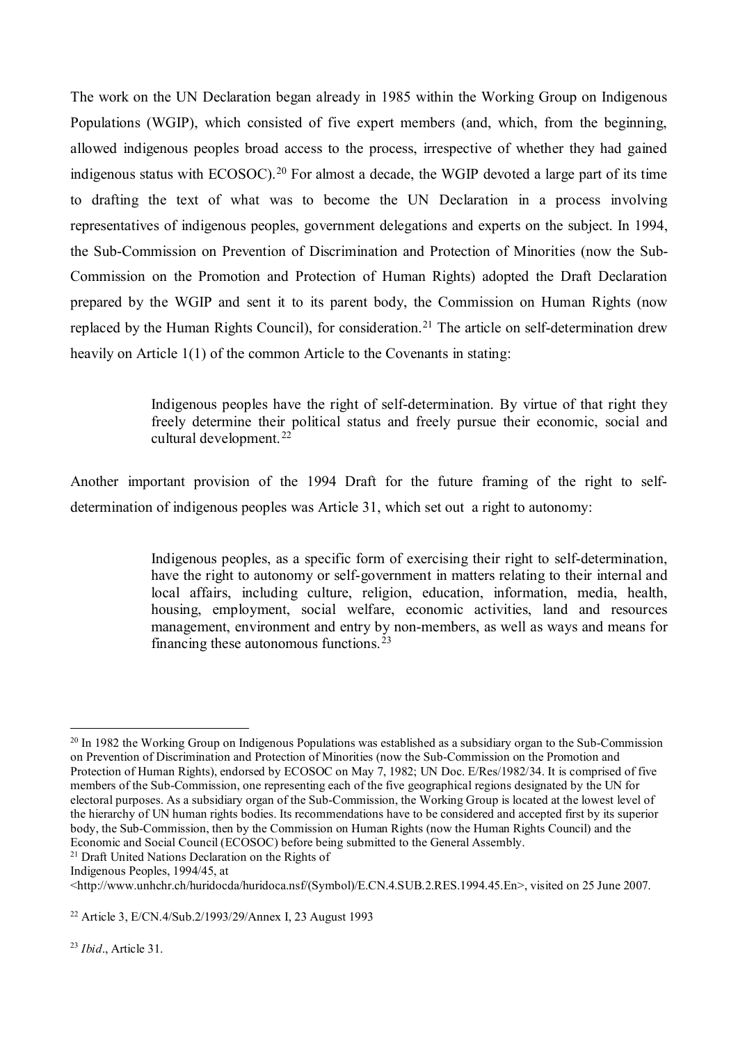The work on the UN Declaration began already in 1985 within the Working Group on Indigenous Populations (WGIP), which consisted of five expert members (and, which, from the beginning, allowed indigenous peoples broad access to the process, irrespective of whether they had gained indigenous status with ECOSOC).<sup>[20](#page-8-0)</sup> For almost a decade, the WGIP devoted a large part of its time to drafting the text of what was to become the UN Declaration in a process involving representatives of indigenous peoples, government delegations and experts on the subject. In 1994, the Sub-Commission on Prevention of Discrimination and Protection of Minorities (now the Sub-Commission on the Promotion and Protection of Human Rights) adopted the Draft Declaration prepared by the WGIP and sent it to its parent body, the Commission on Human Rights (now replaced by the Human Rights Council), for consideration.<sup>[21](#page-8-1)</sup> The article on self-determination drew heavily on Article 1(1) of the common Article to the Covenants in stating:

> Indigenous peoples have the right of self-determination. By virtue of that right they freely determine their political status and freely pursue their economic, social and cultural development.<sup>[22](#page-8-2)</sup>

Another important provision of the 1994 Draft for the future framing of the right to selfdetermination of indigenous peoples was Article 31, which set out a right to autonomy:

> Indigenous peoples, as a specific form of exercising their right to self-determination, have the right to autonomy or self-government in matters relating to their internal and local affairs, including culture, religion, education, information, media, health, housing, employment, social welfare, economic activities, land and resources management, environment and entry by non-members, as well as ways and means for financing these autonomous functions.  $23$

<span id="page-8-1"></span><sup>21</sup> Draft United Nations Declaration on the Rights of

Indigenous Peoples, 1994/45, at

<span id="page-8-3"></span><sup>23</sup> *Ibid*., Article 31.

<span id="page-8-0"></span> $20$  In 1982 the Working Group on Indigenous Populations was established as a subsidiary organ to the Sub-Commission on Prevention of Discrimination and Protection of Minorities (now the Sub-Commission on the Promotion and Protection of Human Rights), endorsed by ECOSOC on May 7, 1982; UN Doc. E/Res/1982/34. It is comprised of five members of the Sub-Commission, one representing each of the five geographical regions designated by the UN for electoral purposes. As a subsidiary organ of the Sub-Commission, the Working Group is located at the lowest level of the hierarchy of UN human rights bodies. Its recommendations have to be considered and accepted first by its superior body, the Sub-Commission, then by the Commission on Human Rights (now the Human Rights Council) and the Economic and Social Council (ECOSOC) before being submitted to the General Assembly.

<sup>&</sup>lt;http://www.unhchr.ch/huridocda/huridoca.nsf/(Symbol)/E.CN.4.SUB.2.RES.1994.45.En>, visited on 25 June 2007.

<span id="page-8-2"></span><sup>22</sup> Article 3, E/CN.4/Sub.2/1993/29/Annex I, 23 August 1993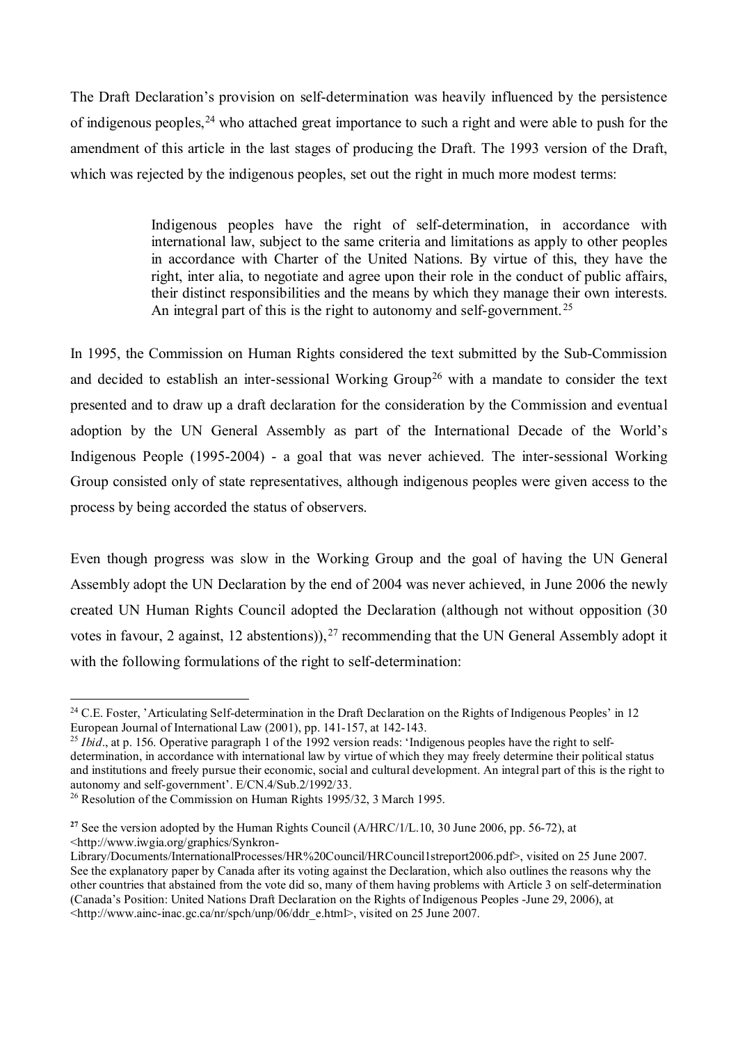The Draft Declaration's provision on self-determination was heavily influenced by the persistence of indigenous peoples,<sup>[24](#page-9-0)</sup> who attached great importance to such a right and were able to push for the amendment of this article in the last stages of producing the Draft. The 1993 version of the Draft, which was rejected by the indigenous peoples, set out the right in much more modest terms:

> Indigenous peoples have the right of self-determination, in accordance with international law, subject to the same criteria and limitations as apply to other peoples in accordance with Charter of the United Nations. By virtue of this, they have the right, inter alia, to negotiate and agree upon their role in the conduct of public affairs, their distinct responsibilities and the means by which they manage their own interests. An integral part of this is the right to autonomy and self-government.<sup>[25](#page-9-1)</sup>

In 1995, the Commission on Human Rights considered the text submitted by the Sub-Commission and decided to establish an inter-sessional Working Group<sup>[26](#page-9-2)</sup> with a mandate to consider the text presented and to draw up a draft declaration for the consideration by the Commission and eventual adoption by the UN General Assembly as part of the International Decade of the World's Indigenous People (1995-2004) - a goal that was never achieved. The inter-sessional Working Group consisted only of state representatives, although indigenous peoples were given access to the process by being accorded the status of observers.

Even though progress was slow in the Working Group and the goal of having the UN General Assembly adopt the UN Declaration by the end of 2004 was never achieved, in June 2006 the newly created UN Human Rights Council adopted the Declaration (although not without opposition (30 votes in favour, 2 against, 12 abstentions)),  $27$  recommending that the UN General Assembly adopt it with the following formulations of the right to self-determination:

<span id="page-9-0"></span> $\overline{a}$ <sup>24</sup> C.E. Foster, 'Articulating Self-determination in the Draft Declaration on the Rights of Indigenous Peoples' in 12 European Journal of International Law (2001), pp. 141-157, at 142-143.

<span id="page-9-1"></span><sup>&</sup>lt;sup>25</sup> *Ibid*., at p. 156. Operative paragraph 1 of the 1992 version reads: 'Indigenous peoples have the right to selfdetermination, in accordance with international law by virtue of which they may freely determine their political status and institutions and freely pursue their economic, social and cultural development. An integral part of this is the right to autonomy and self-government'. E/CN.4/Sub.2/1992/33.

<span id="page-9-2"></span><sup>&</sup>lt;sup>26</sup> Resolution of the Commission on Human Rights 1995/32, 3 March 1995.

<span id="page-9-3"></span><sup>&</sup>lt;sup>27</sup> See the version adopted by the Human Rights Council (A/HRC/1/L.10, 30 June 2006, pp. 56-72), at <http://www.iwgia.org/graphics/Synkron-

Library/Documents/InternationalProcesses/HR%20Council/HRCouncil1streport2006.pdf>, visited on 25 June 2007. See the explanatory paper by Canada after its voting against the Declaration, which also outlines the reasons why the other countries that abstained from the vote did so, many of them having problems with Article 3 on self-determination (Canada's Position: United Nations Draft Declaration on the Rights of Indigenous Peoples -June 29, 2006), at <http://www.ainc-inac.gc.ca/nr/spch/unp/06/ddr\_e.html>, visited on 25 June 2007.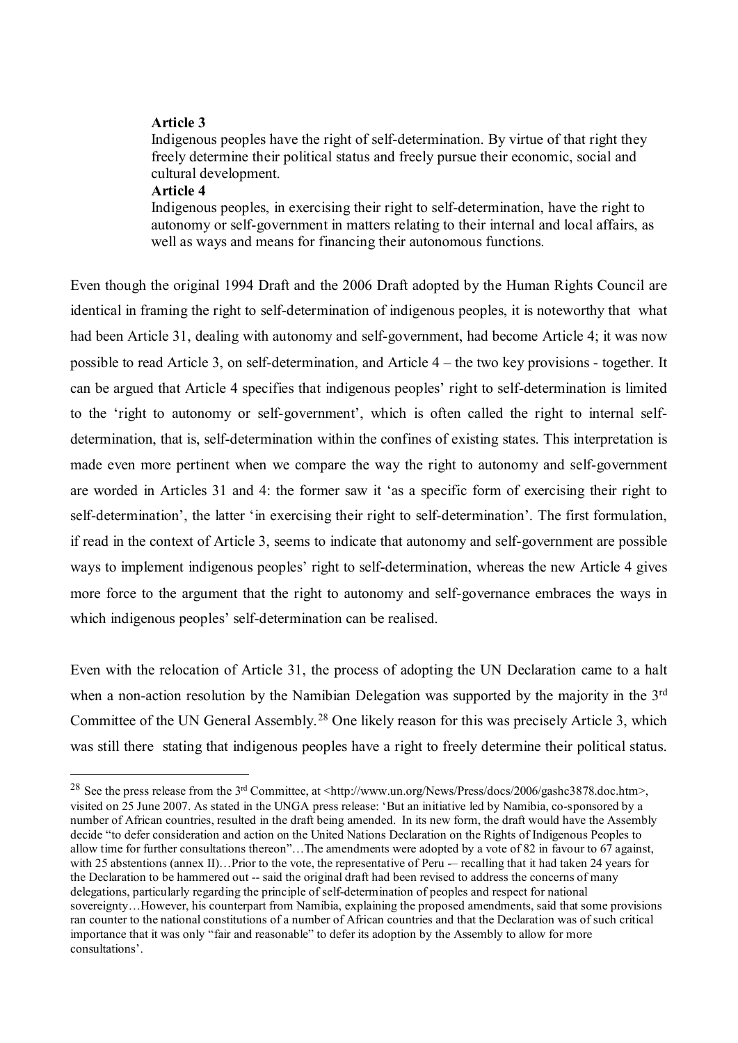## **Article 3**

Indigenous peoples have the right of self-determination. By virtue of that right they freely determine their political status and freely pursue their economic, social and cultural development.

#### **Article 4**

 $\overline{a}$ 

Indigenous peoples, in exercising their right to self-determination, have the right to autonomy or self-government in matters relating to their internal and local affairs, as well as ways and means for financing their autonomous functions.

Even though the original 1994 Draft and the 2006 Draft adopted by the Human Rights Council are identical in framing the right to self-determination of indigenous peoples, it is noteworthy that what had been Article 31, dealing with autonomy and self-government, had become Article 4; it was now possible to read Article 3, on self-determination, and Article 4 – the two key provisions - together. It can be argued that Article 4 specifies that indigenous peoples' right to self-determination is limited to the 'right to autonomy or self-government', which is often called the right to internal selfdetermination, that is, self-determination within the confines of existing states. This interpretation is made even more pertinent when we compare the way the right to autonomy and self-government are worded in Articles 31 and 4: the former saw it 'as a specific form of exercising their right to self-determination', the latter 'in exercising their right to self-determination'. The first formulation, if read in the context of Article 3, seems to indicate that autonomy and self-government are possible ways to implement indigenous peoples' right to self-determination, whereas the new Article 4 gives more force to the argument that the right to autonomy and self-governance embraces the ways in which indigenous peoples' self-determination can be realised.

Even with the relocation of Article 31, the process of adopting the UN Declaration came to a halt when a non-action resolution by the Namibian Delegation was supported by the majority in the 3<sup>rd</sup> Committee of the UN General Assembly.<sup>[28](#page-10-0)</sup> One likely reason for this was precisely Article 3, which was still there stating that indigenous peoples have a right to freely determine their political status.

<span id="page-10-0"></span><sup>&</sup>lt;sup>28</sup> See the press release from the 3<sup>rd</sup> Committee, at <http://www.un.org/News/Press/docs/2006/gashc3878.doc.htm>, visited on 25 June 2007. As stated in the UNGA press release: 'But an initiative led by Namibia, co-sponsored by a number of African countries, resulted in the draft being amended. In its new form, the draft would have the Assembly decide "to defer consideration and action on the United Nations Declaration on the Rights of Indigenous Peoples to allow time for further consultations thereon"...The amendments were adopted by a vote of 82 in favour to  $67$  against, with 25 abstentions (annex II)...Prior to the vote, the representative of Peru — recalling that it had taken 24 years for the Declaration to be hammered out -- said the original draft had been revised to address the concerns of many delegations, particularly regarding the principle of self-determination of peoples and respect for national sovereignty…However, his counterpart from Namibia, explaining the proposed amendments, said that some provisions ran counter to the national constitutions of a number of African countries and that the Declaration was of such critical importance that it was only "fair and reasonable" to defer its adoption by the Assembly to allow for more consultations'.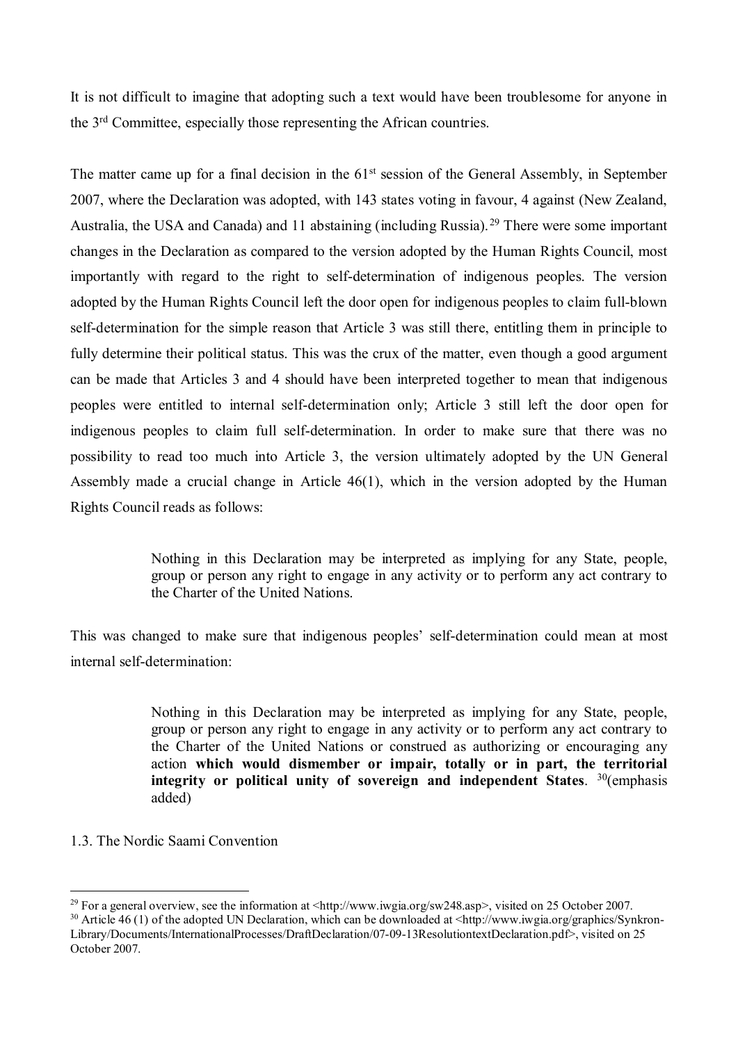It is not difficult to imagine that adopting such a text would have been troublesome for anyone in the 3rd Committee, especially those representing the African countries.

The matter came up for a final decision in the 61<sup>st</sup> session of the General Assembly, in September 2007, where the Declaration was adopted, with 143 states voting in favour, 4 against (New Zealand, Australia, the USA and Canada) and 11 abstaining (including Russia). [29](#page-11-0) There were some important changes in the Declaration as compared to the version adopted by the Human Rights Council, most importantly with regard to the right to self-determination of indigenous peoples. The version adopted by the Human Rights Council left the door open for indigenous peoples to claim full-blown self-determination for the simple reason that Article 3 was still there, entitling them in principle to fully determine their political status. This was the crux of the matter, even though a good argument can be made that Articles 3 and 4 should have been interpreted together to mean that indigenous peoples were entitled to internal self-determination only; Article 3 still left the door open for indigenous peoples to claim full self-determination. In order to make sure that there was no possibility to read too much into Article 3, the version ultimately adopted by the UN General Assembly made a crucial change in Article 46(1), which in the version adopted by the Human Rights Council reads as follows:

> Nothing in this Declaration may be interpreted as implying for any State, people, group or person any right to engage in any activity or to perform any act contrary to the Charter of the United Nations.

This was changed to make sure that indigenous peoples' self-determination could mean at most internal self-determination:

> Nothing in this Declaration may be interpreted as implying for any State, people, group or person any right to engage in any activity or to perform any act contrary to the Charter of the United Nations or construed as authorizing or encouraging any action **which would dismember or impair, totally or in part, the territorial integrity or political unity of sovereign and independent States**. [30](#page-11-1)(emphasis added)

# 1.3. The Nordic Saami Convention

 $\overline{a}$ <sup>29</sup> For a general overview, see the information at [<http://www.iwgia.org/sw248.asp>](http://www.iwgia.org/sw248.asp), visited on 25 October 2007.

<span id="page-11-1"></span><span id="page-11-0"></span><sup>&</sup>lt;sup>30</sup> Article 46 (1) of the adopted UN Declaration, which can be downloaded at <http://www.iwgia.org/graphics/Synkron-Library/Documents/InternationalProcesses/DraftDeclaration/07-09-13ResolutiontextDeclaration.pdf>, visited on 25 October 2007.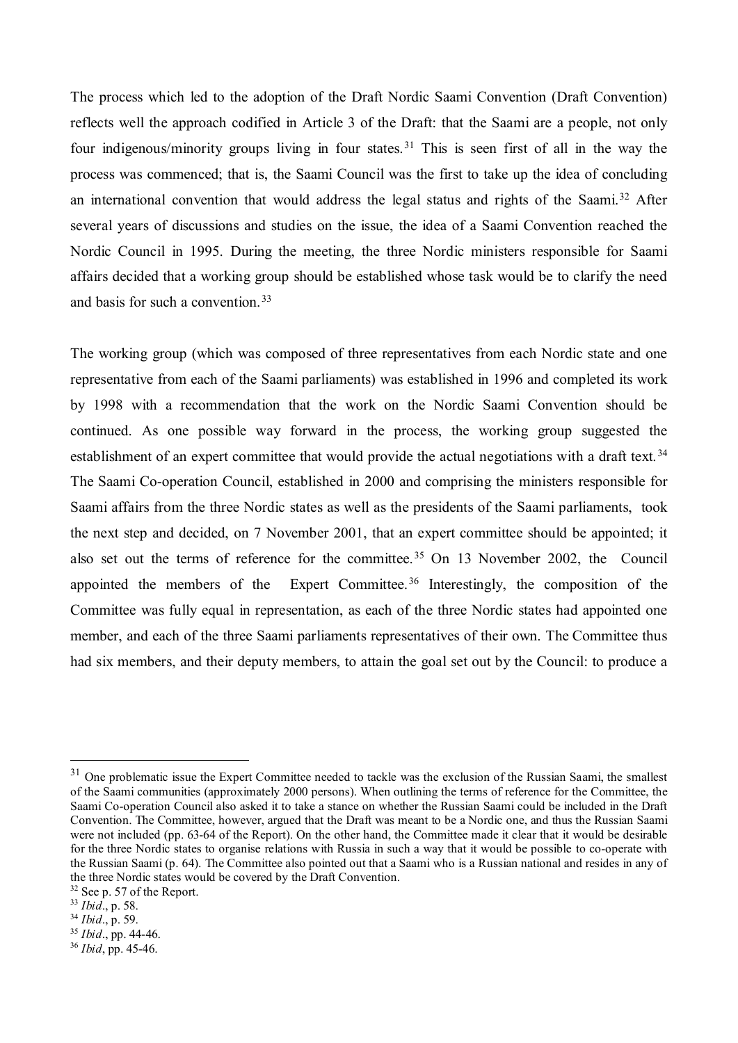The process which led to the adoption of the Draft Nordic Saami Convention (Draft Convention) reflects well the approach codified in Article 3 of the Draft: that the Saami are a people, not only four indigenous/minority groups living in four states.<sup>[31](#page-12-0)</sup> This is seen first of all in the way the process was commenced; that is, the Saami Council was the first to take up the idea of concluding an international convention that would address the legal status and rights of the Saami.<sup>[32](#page-12-1)</sup> After several years of discussions and studies on the issue, the idea of a Saami Convention reached the Nordic Council in 1995. During the meeting, the three Nordic ministers responsible for Saami affairs decided that a working group should be established whose task would be to clarify the need and basis for such a convention.[33](#page-12-2)

The working group (which was composed of three representatives from each Nordic state and one representative from each of the Saami parliaments) was established in 1996 and completed its work by 1998 with a recommendation that the work on the Nordic Saami Convention should be continued. As one possible way forward in the process, the working group suggested the establishment of an expert committee that would provide the actual negotiations with a draft text.<sup>[34](#page-12-3)</sup> The Saami Co-operation Council, established in 2000 and comprising the ministers responsible for Saami affairs from the three Nordic states as well as the presidents of the Saami parliaments, took the next step and decided, on 7 November 2001, that an expert committee should be appointed; it also set out the terms of reference for the committee. [35](#page-12-4) On 13 November 2002, the Council appointed the members of the Expert Committee.<sup>[36](#page-12-5)</sup> Interestingly, the composition of the Committee was fully equal in representation, as each of the three Nordic states had appointed one member, and each of the three Saami parliaments representatives of their own. The Committee thus had six members, and their deputy members, to attain the goal set out by the Council: to produce a

<span id="page-12-0"></span> $31$  One problematic issue the Expert Committee needed to tackle was the exclusion of the Russian Saami, the smallest of the Saami communities (approximately 2000 persons). When outlining the terms of reference for the Committee, the Saami Co-operation Council also asked it to take a stance on whether the Russian Saami could be included in the Draft Convention. The Committee, however, argued that the Draft was meant to be a Nordic one, and thus the Russian Saami were not included (pp. 63-64 of the Report). On the other hand, the Committee made it clear that it would be desirable for the three Nordic states to organise relations with Russia in such a way that it would be possible to co-operate with the Russian Saami (p. 64). The Committee also pointed out that a Saami who is a Russian national and resides in any of the three Nordic states would be covered by the Draft Convention.

<span id="page-12-1"></span><sup>32</sup> See p. 57 of the Report.

<span id="page-12-2"></span><sup>33</sup> *Ibid*., p. 58.

<span id="page-12-3"></span><sup>34</sup> *Ibid*., p. 59.

<span id="page-12-4"></span><sup>35</sup> *Ibid*., pp. 44-46.

<span id="page-12-5"></span><sup>36</sup> *Ibid*, pp. 45-46.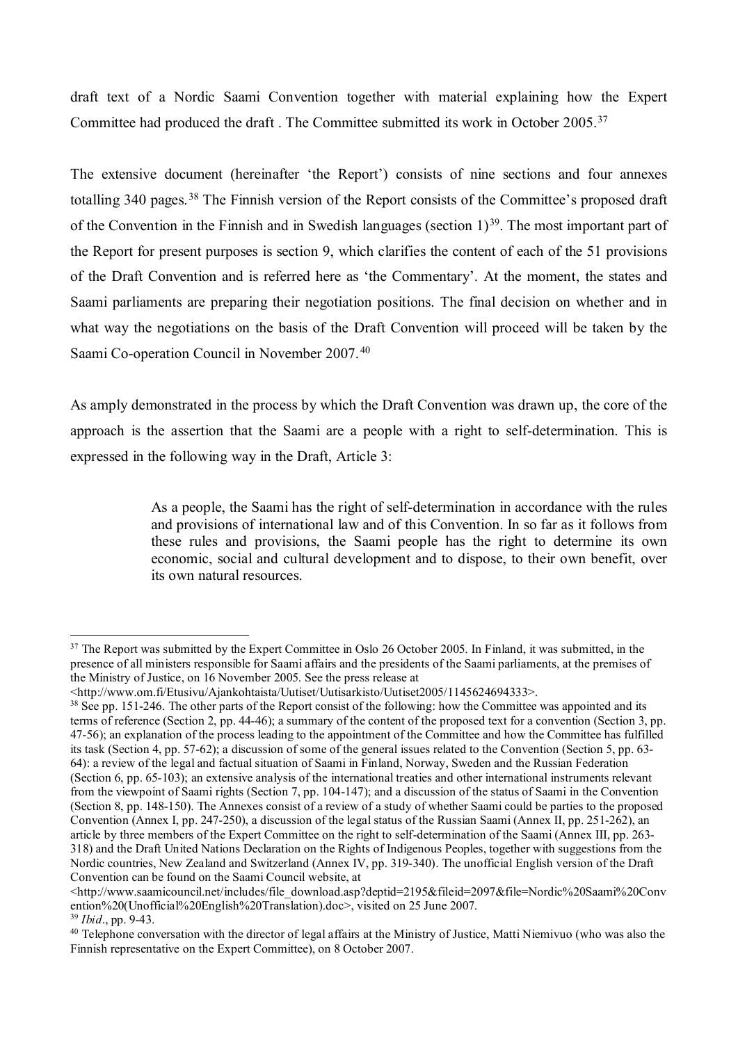draft text of a Nordic Saami Convention together with material explaining how the Expert Committee had produced the draft . The Committee submitted its work in October 2005.[37](#page-13-0)

The extensive document (hereinafter 'the Report') consists of nine sections and four annexes totalling 340 pages.<sup>[38](#page-13-1)</sup> The Finnish version of the Report consists of the Committee's proposed draft of the Convention in the Finnish and in Swedish languages (section  $1$ )<sup>[39](#page-13-2)</sup>. The most important part of the Report for present purposes is section 9, which clarifies the content of each of the 51 provisions of the Draft Convention and is referred here as 'the Commentary'. At the moment, the states and Saami parliaments are preparing their negotiation positions. The final decision on whether and in what way the negotiations on the basis of the Draft Convention will proceed will be taken by the Saami Co-operation Council in November 2007.<sup>[40](#page-13-3)</sup>

As amply demonstrated in the process by which the Draft Convention was drawn up, the core of the approach is the assertion that the Saami are a people with a right to self-determination. This is expressed in the following way in the Draft, Article 3:

> As a people, the Saami has the right of self-determination in accordance with the rules and provisions of international law and of this Convention. In so far as it follows from these rules and provisions, the Saami people has the right to determine its own economic, social and cultural development and to dispose, to their own benefit, over its own natural resources.

<span id="page-13-0"></span><sup>&</sup>lt;sup>37</sup> The Report was submitted by the Expert Committee in Oslo 26 October 2005. In Finland, it was submitted, in the presence of all ministers responsible for Saami affairs and the presidents of the Saami parliaments, at the premises of the Ministry of Justice, on 16 November 2005. See the press release at

<sup>&</sup>lt;http://www.om.fi/Etusivu/Ajankohtaista/Uutiset/Uutisarkisto/Uutiset2005/1145624694333>.

<span id="page-13-1"></span><sup>&</sup>lt;sup>38</sup> See pp. 151-246. The other parts of the Report consist of the following: how the Committee was appointed and its terms of reference (Section 2, pp. 44-46); a summary of the content of the proposed text for a convention (Section 3, pp. 47-56); an explanation of the process leading to the appointment of the Committee and how the Committee has fulfilled its task (Section 4, pp. 57-62); a discussion of some of the general issues related to the Convention (Section 5, pp. 63- 64): a review of the legal and factual situation of Saami in Finland, Norway, Sweden and the Russian Federation (Section 6, pp. 65-103); an extensive analysis of the international treaties and other international instruments relevant from the viewpoint of Saami rights (Section 7, pp. 104-147); and a discussion of the status of Saami in the Convention (Section 8, pp. 148-150). The Annexes consist of a review of a study of whether Saami could be parties to the proposed Convention (Annex I, pp. 247-250), a discussion of the legal status of the Russian Saami (Annex II, pp. 251-262), an article by three members of the Expert Committee on the right to self-determination of the Saami (Annex III, pp. 263- 318) and the Draft United Nations Declaration on the Rights of Indigenous Peoples, together with suggestions from the Nordic countries, New Zealand and Switzerland (Annex IV, pp. 319-340). The unofficial English version of the Draft Convention can be found on the Saami Council website, at

<sup>&</sup>lt;http://www.saamicouncil.net/includes/file\_download.asp?deptid=2195&fileid=2097&file=Nordic%20Saami%20Conv ention%20(Unofficial%20English%20Translation).doc>, visited on 25 June 2007.

<span id="page-13-3"></span><span id="page-13-2"></span><sup>&</sup>lt;sup>39</sup> *Ibid.*, pp. 9-43.<br><sup>40</sup> Telephone conversation with the director of legal affairs at the Ministry of Justice, Matti Niemivuo (who was also the Finnish representative on the Expert Committee), on 8 October 2007.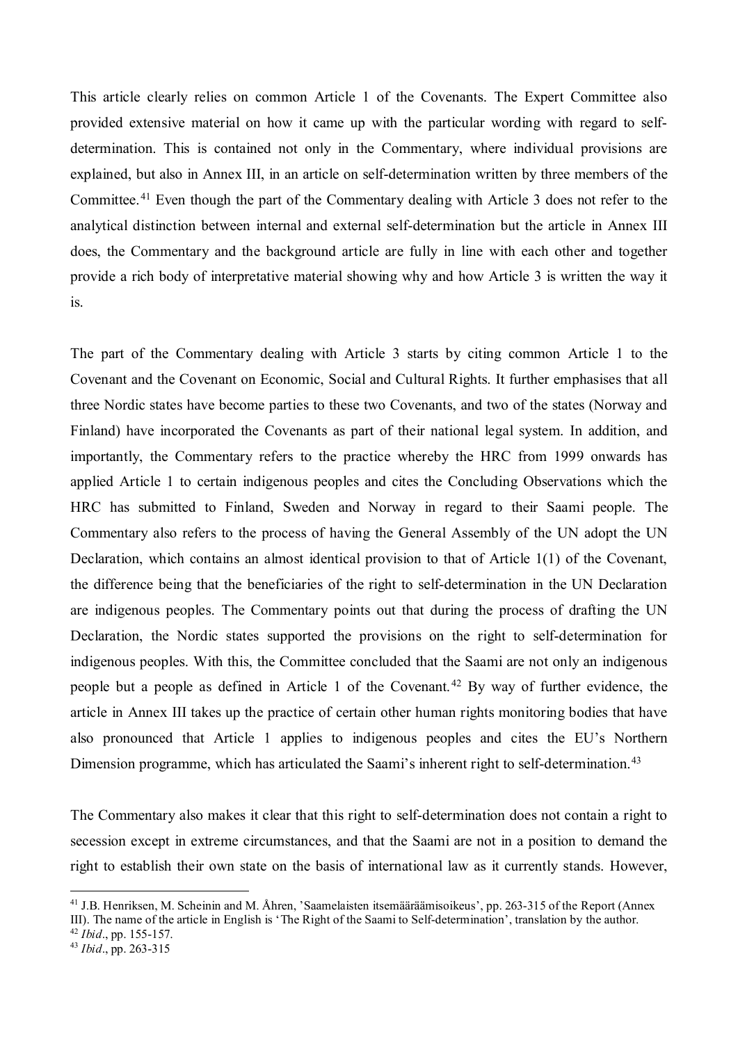This article clearly relies on common Article 1 of the Covenants. The Expert Committee also provided extensive material on how it came up with the particular wording with regard to selfdetermination. This is contained not only in the Commentary, where individual provisions are explained, but also in Annex III, in an article on self-determination written by three members of the Committee.[41](#page-14-0) Even though the part of the Commentary dealing with Article 3 does not refer to the analytical distinction between internal and external self-determination but the article in Annex III does, the Commentary and the background article are fully in line with each other and together provide a rich body of interpretative material showing why and how Article 3 is written the way it is.

The part of the Commentary dealing with Article 3 starts by citing common Article 1 to the Covenant and the Covenant on Economic, Social and Cultural Rights. It further emphasises that all three Nordic states have become parties to these two Covenants, and two of the states (Norway and Finland) have incorporated the Covenants as part of their national legal system. In addition, and importantly, the Commentary refers to the practice whereby the HRC from 1999 onwards has applied Article 1 to certain indigenous peoples and cites the Concluding Observations which the HRC has submitted to Finland, Sweden and Norway in regard to their Saami people. The Commentary also refers to the process of having the General Assembly of the UN adopt the UN Declaration, which contains an almost identical provision to that of Article 1(1) of the Covenant, the difference being that the beneficiaries of the right to self-determination in the UN Declaration are indigenous peoples. The Commentary points out that during the process of drafting the UN Declaration, the Nordic states supported the provisions on the right to self-determination for indigenous peoples. With this, the Committee concluded that the Saami are not only an indigenous people but a people as defined in Article 1 of the Covenant. [42](#page-14-1) By way of further evidence, the article in Annex III takes up the practice of certain other human rights monitoring bodies that have also pronounced that Article 1 applies to indigenous peoples and cites the EU's Northern Dimension programme, which has articulated the Saami's inherent right to self-determination.<sup>43</sup>

The Commentary also makes it clear that this right to self-determination does not contain a right to secession except in extreme circumstances, and that the Saami are not in a position to demand the right to establish their own state on the basis of international law as it currently stands. However,

<span id="page-14-0"></span><sup>&</sup>lt;sup>41</sup> J.B. Henriksen, M. Scheinin and M. Åhren, 'Saamelaisten itsemääräämisoikeus', pp. 263-315 of the Report (Annex III). The name of the article in English is 'The Right of the Saami to Self-determination', translation by the author.

<span id="page-14-1"></span><sup>42</sup> *Ibid*., pp. 155-157.

<span id="page-14-2"></span><sup>43</sup> *Ibid*., pp. 263-315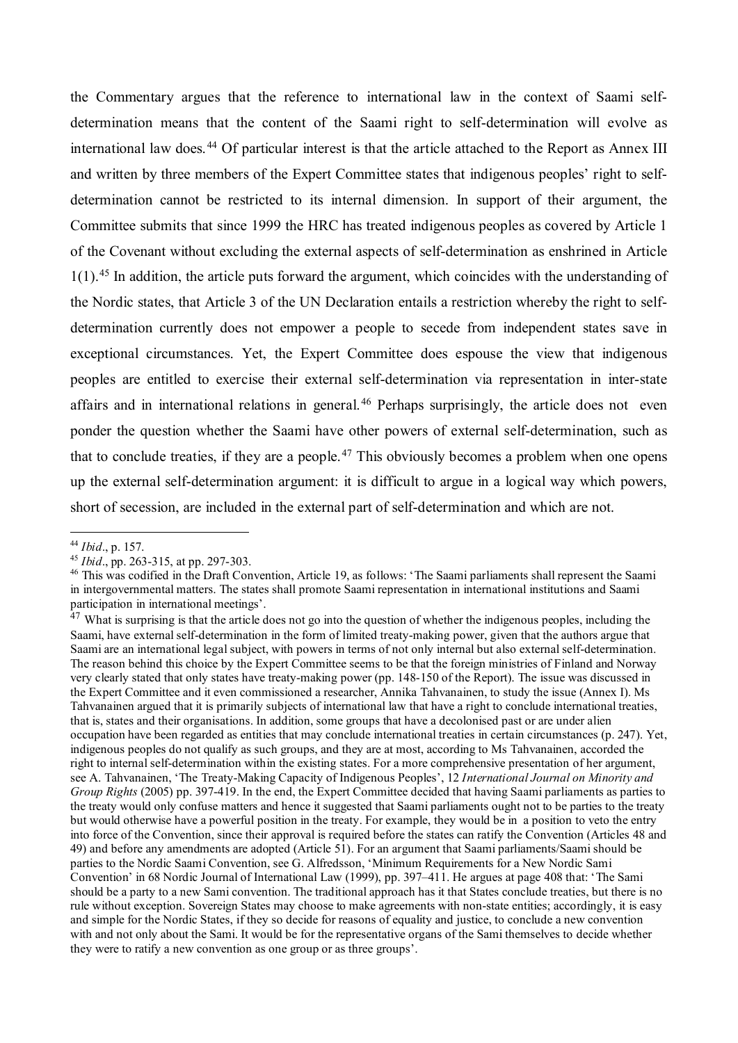the Commentary argues that the reference to international law in the context of Saami selfdetermination means that the content of the Saami right to self-determination will evolve as international law does. [44](#page-15-0) Of particular interest is that the article attached to the Report as Annex III and written by three members of the Expert Committee states that indigenous peoples' right to selfdetermination cannot be restricted to its internal dimension. In support of their argument, the Committee submits that since 1999 the HRC has treated indigenous peoples as covered by Article 1 of the Covenant without excluding the external aspects of self-determination as enshrined in Article  $1(1)$ .<sup>[45](#page-15-1)</sup> In addition, the article puts forward the argument, which coincides with the understanding of the Nordic states, that Article 3 of the UN Declaration entails a restriction whereby the right to selfdetermination currently does not empower a people to secede from independent states save in exceptional circumstances. Yet, the Expert Committee does espouse the view that indigenous peoples are entitled to exercise their external self-determination via representation in inter-state affairs and in international relations in general. [46](#page-15-2) Perhaps surprisingly, the article does not even ponder the question whether the Saami have other powers of external self-determination, such as that to conclude treaties, if they are a people. [47](#page-15-3) This obviously becomes a problem when one opens up the external self-determination argument: it is difficult to argue in a logical way which powers, short of secession, are included in the external part of self-determination and which are not.

<span id="page-15-0"></span><sup>44</sup> *Ibid*., p. 157.

<span id="page-15-1"></span><sup>45</sup> *Ibid*., pp. 263-315, at pp. 297-303.

<span id="page-15-2"></span><sup>&</sup>lt;sup>46</sup> This was codified in the Draft Convention, Article 19, as follows: 'The Saami parliaments shall represent the Saami in intergovernmental matters. The states shall promote Saami representation in international institutions and Saami participation in international meetings'.

<span id="page-15-3"></span><sup>&</sup>lt;sup>47</sup> What is surprising is that the article does not go into the question of whether the indigenous peoples, including the Saami, have external self-determination in the form of limited treaty-making power, given that the authors argue that Saami are an international legal subject, with powers in terms of not only internal but also external self-determination. The reason behind this choice by the Expert Committee seems to be that the foreign ministries of Finland and Norway very clearly stated that only states have treaty-making power (pp. 148-150 of the Report). The issue was discussed in the Expert Committee and it even commissioned a researcher, Annika Tahvanainen, to study the issue (Annex I). Ms Tahvanainen argued that it is primarily subjects of international law that have a right to conclude international treaties, that is, states and their organisations. In addition, some groups that have a decolonised past or are under alien occupation have been regarded as entities that may conclude international treaties in certain circumstances (p. 247). Yet, indigenous peoples do not qualify as such groups, and they are at most, according to Ms Tahvanainen, accorded the right to internal self-determination within the existing states. For a more comprehensive presentation of her argument, see A. Tahvanainen, 'The Treaty-Making Capacity of Indigenous Peoples', 12 *International Journal on Minority and Group Rights* (2005) pp. 397-419. In the end, the Expert Committee decided that having Saami parliaments as parties to the treaty would only confuse matters and hence it suggested that Saami parliaments ought not to be parties to the treaty but would otherwise have a powerful position in the treaty. For example, they would be in a position to veto the entry into force of the Convention, since their approval is required before the states can ratify the Convention (Articles 48 and 49) and before any amendments are adopted (Article 51). For an argument that Saami parliaments/Saami should be parties to the Nordic Saami Convention, see G. Alfredsson, 'Minimum Requirements for a New Nordic Sami Convention' in 68 Nordic Journal of International Law (1999), pp. 397–411. He argues at page 408 that: 'The Sami should be a party to a new Sami convention. The traditional approach has it that States conclude treaties, but there is no rule without exception. Sovereign States may choose to make agreements with non-state entities; accordingly, it is easy and simple for the Nordic States, if they so decide for reasons of equality and justice, to conclude a new convention with and not only about the Sami. It would be for the representative organs of the Sami themselves to decide whether they were to ratify a new convention as one group or as three groups'.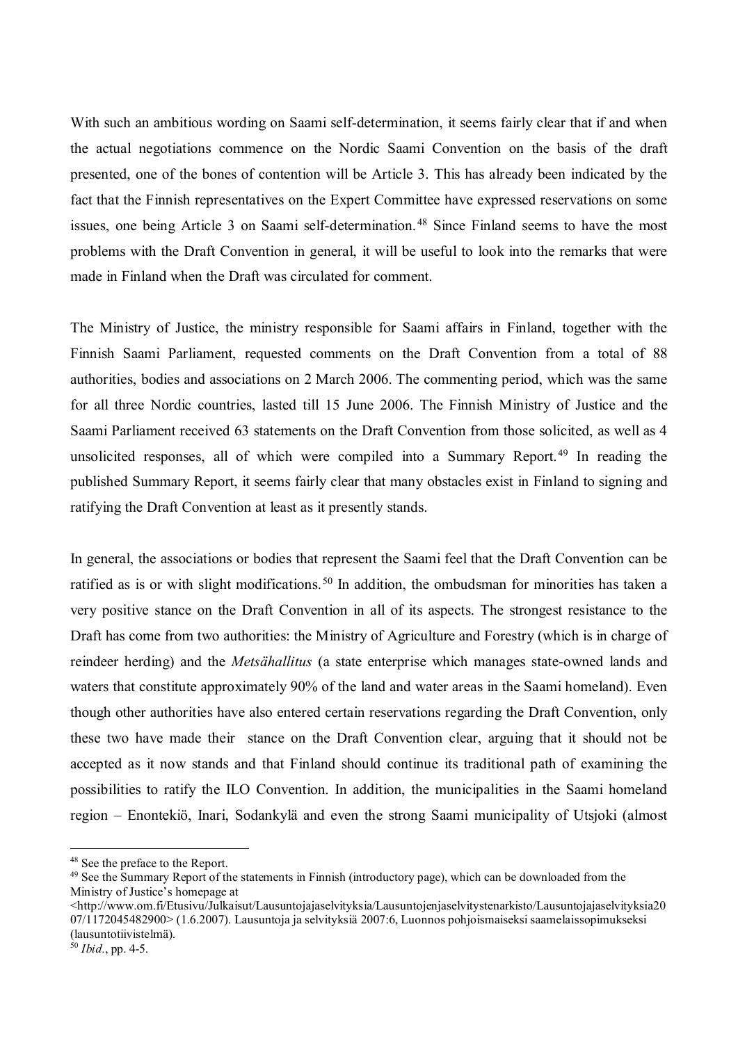With such an ambitious wording on Saami self-determination, it seems fairly clear that if and when the actual negotiations commence on the Nordic Saami Convention on the basis of the draft presented, one of the bones of contention will be Article 3. This has already been indicated by the fact that the Finnish representatives on the Expert Committee have expressed reservations on some issues, one being Article 3 on Saami self-determination. [48](#page-16-0) Since Finland seems to have the most problems with the Draft Convention in general, it will be useful to look into the remarks that were made in Finland when the Draft was circulated for comment.

The Ministry of Justice, the ministry responsible for Saami affairs in Finland, together with the Finnish Saami Parliament, requested comments on the Draft Convention from a total of 88 authorities, bodies and associations on 2 March 2006. The commenting period, which was the same for all three Nordic countries, lasted till 15 June 2006. The Finnish Ministry of Justice and the Saami Parliament received 63 statements on the Draft Convention from those solicited, as well as 4 unsolicited responses, all of which were compiled into a Summary Report.<sup>[49](#page-16-1)</sup> In reading the published Summary Report, it seems fairly clear that many obstacles exist in Finland to signing and ratifying the Draft Convention at least as it presently stands.

In general, the associations or bodies that represent the Saami feel that the Draft Convention can be ratified as is or with slight modifications.<sup>[50](#page-16-2)</sup> In addition, the ombudsman for minorities has taken a very positive stance on the Draft Convention in all of its aspects. The strongest resistance to the Draft has come from two authorities: the Ministry of Agriculture and Forestry (which is in charge of reindeer herding) and the *Metsähallitus* (a state enterprise which manages state-owned lands and waters that constitute approximately 90% of the land and water areas in the Saami homeland). Even though other authorities have also entered certain reservations regarding the Draft Convention, only these two have made their stance on the Draft Convention clear, arguing that it should not be accepted as it now stands and that Finland should continue its traditional path of examining the possibilities to ratify the ILO Convention. In addition, the municipalities in the Saami homeland region – Enontekiö, Inari, Sodankylä and even the strong Saami municipality of Utsjoki (almost

<span id="page-16-0"></span><sup>48</sup> See the preface to the Report.

<span id="page-16-1"></span><sup>49</sup> See the Summary Report of the statements in Finnish (introductory page), which can be downloaded from the Ministry of Justice's homepage at

<sup>&</sup>lt;http://www.om.fi/Etusivu/Julkaisut/Lausuntojajaselvityksia/Lausuntojenjaselvitystenarkisto/Lausuntojajaselvityksia20 07/1172045482900> (1.6.2007). Lausuntoja ja selvityksiä 2007:6, Luonnos pohjoismaiseksi saamelaissopimukseksi (lausuntotiivistelmä).

<span id="page-16-2"></span> $50$  *Ibid.*, pp. 4-5.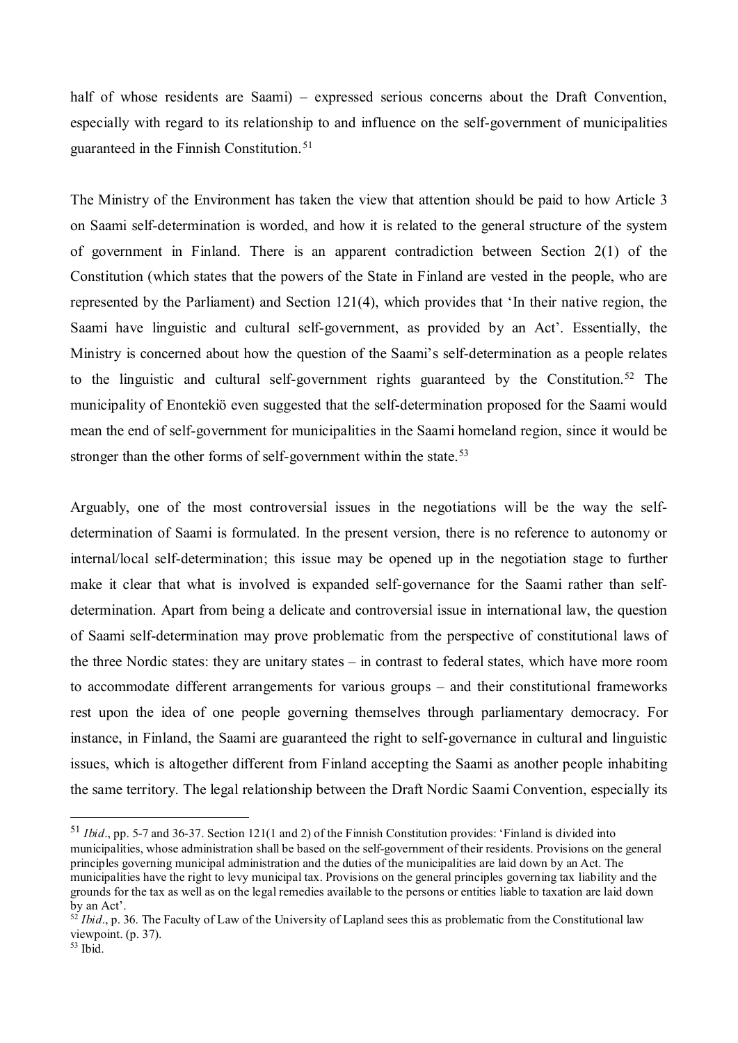half of whose residents are Saami) – expressed serious concerns about the Draft Convention, especially with regard to its relationship to and influence on the self-government of municipalities guaranteed in the Finnish Constitution.<sup>[51](#page-17-0)</sup>

The Ministry of the Environment has taken the view that attention should be paid to how Article 3 on Saami self-determination is worded, and how it is related to the general structure of the system of government in Finland. There is an apparent contradiction between Section 2(1) of the Constitution (which states that the powers of the State in Finland are vested in the people, who are represented by the Parliament) and Section 121(4), which provides that 'In their native region, the Saami have linguistic and cultural self-government, as provided by an Act'. Essentially, the Ministry is concerned about how the question of the Saami's self-determination as a people relates to the linguistic and cultural self-government rights guaranteed by the Constitution.<sup>[52](#page-17-1)</sup> The municipality of Enontekiö even suggested that the self-determination proposed for the Saami would mean the end of self-government for municipalities in the Saami homeland region, since it would be stronger than the other forms of self-government within the state.<sup>[53](#page-17-2)</sup>

Arguably, one of the most controversial issues in the negotiations will be the way the selfdetermination of Saami is formulated. In the present version, there is no reference to autonomy or internal/local self-determination; this issue may be opened up in the negotiation stage to further make it clear that what is involved is expanded self-governance for the Saami rather than selfdetermination. Apart from being a delicate and controversial issue in international law, the question of Saami self-determination may prove problematic from the perspective of constitutional laws of the three Nordic states: they are unitary states – in contrast to federal states, which have more room to accommodate different arrangements for various groups – and their constitutional frameworks rest upon the idea of one people governing themselves through parliamentary democracy. For instance, in Finland, the Saami are guaranteed the right to self-governance in cultural and linguistic issues, which is altogether different from Finland accepting the Saami as another people inhabiting the same territory. The legal relationship between the Draft Nordic Saami Convention, especially its

<span id="page-17-0"></span><sup>51</sup> *Ibid*., pp. 5-7 and 36-37. Section 121(1 and 2) of the Finnish Constitution provides: 'Finland is divided into municipalities, whose administration shall be based on the self-government of their residents. Provisions on the general principles governing municipal administration and the duties of the municipalities are laid down by an Act. The municipalities have the right to levy municipal tax. Provisions on the general principles governing tax liability and the grounds for the tax as well as on the legal remedies available to the persons or entities liable to taxation are laid down by an Act'.

<span id="page-17-1"></span><sup>&</sup>lt;sup>52</sup> *Ibid.*, p. 36. The Faculty of Law of the University of Lapland sees this as problematic from the Constitutional law viewpoint. (p. 37).

<span id="page-17-2"></span> $53$  Ibid.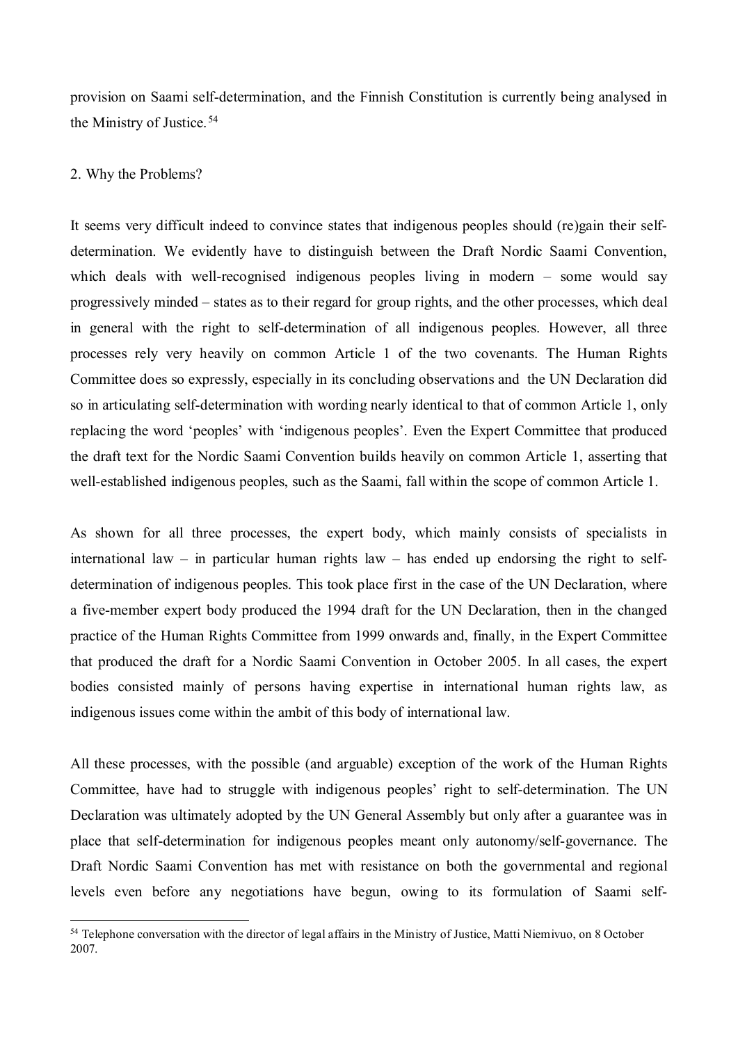provision on Saami self-determination, and the Finnish Constitution is currently being analysed in the Ministry of Justice.<sup>[54](#page-18-0)</sup>

### 2. Why the Problems?

 $\overline{a}$ 

It seems very difficult indeed to convince states that indigenous peoples should (re)gain their selfdetermination. We evidently have to distinguish between the Draft Nordic Saami Convention, which deals with well-recognised indigenous peoples living in modern – some would say progressively minded – states as to their regard for group rights, and the other processes, which deal in general with the right to self-determination of all indigenous peoples. However, all three processes rely very heavily on common Article 1 of the two covenants. The Human Rights Committee does so expressly, especially in its concluding observations and the UN Declaration did so in articulating self-determination with wording nearly identical to that of common Article 1, only replacing the word 'peoples' with 'indigenous peoples'. Even the Expert Committee that produced the draft text for the Nordic Saami Convention builds heavily on common Article 1, asserting that well-established indigenous peoples, such as the Saami, fall within the scope of common Article 1.

As shown for all three processes, the expert body, which mainly consists of specialists in international law – in particular human rights law – has ended up endorsing the right to selfdetermination of indigenous peoples. This took place first in the case of the UN Declaration, where a five-member expert body produced the 1994 draft for the UN Declaration, then in the changed practice of the Human Rights Committee from 1999 onwards and, finally, in the Expert Committee that produced the draft for a Nordic Saami Convention in October 2005. In all cases, the expert bodies consisted mainly of persons having expertise in international human rights law, as indigenous issues come within the ambit of this body of international law.

All these processes, with the possible (and arguable) exception of the work of the Human Rights Committee, have had to struggle with indigenous peoples' right to self-determination. The UN Declaration was ultimately adopted by the UN General Assembly but only after a guarantee was in place that self-determination for indigenous peoples meant only autonomy/self-governance. The Draft Nordic Saami Convention has met with resistance on both the governmental and regional levels even before any negotiations have begun, owing to its formulation of Saami self-

<span id="page-18-0"></span><sup>&</sup>lt;sup>54</sup> Telephone conversation with the director of legal affairs in the Ministry of Justice, Matti Niemivuo, on 8 October 2007.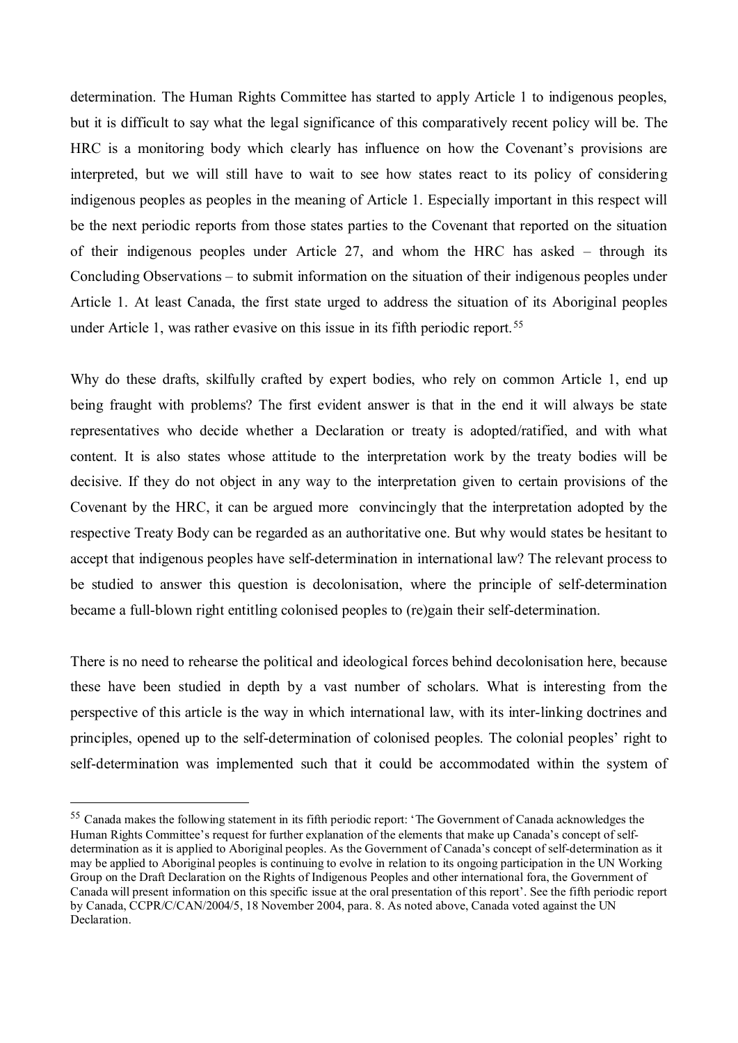determination. The Human Rights Committee has started to apply Article 1 to indigenous peoples, but it is difficult to say what the legal significance of this comparatively recent policy will be. The HRC is a monitoring body which clearly has influence on how the Covenant's provisions are interpreted, but we will still have to wait to see how states react to its policy of considering indigenous peoples as peoples in the meaning of Article 1. Especially important in this respect will be the next periodic reports from those states parties to the Covenant that reported on the situation of their indigenous peoples under Article 27, and whom the HRC has asked – through its Concluding Observations – to submit information on the situation of their indigenous peoples under Article 1. At least Canada, the first state urged to address the situation of its Aboriginal peoples under Article 1, was rather evasive on this issue in its fifth periodic report.<sup>[55](#page-19-0)</sup>

Why do these drafts, skilfully crafted by expert bodies, who rely on common Article 1, end up being fraught with problems? The first evident answer is that in the end it will always be state representatives who decide whether a Declaration or treaty is adopted/ratified, and with what content. It is also states whose attitude to the interpretation work by the treaty bodies will be decisive. If they do not object in any way to the interpretation given to certain provisions of the Covenant by the HRC, it can be argued more convincingly that the interpretation adopted by the respective Treaty Body can be regarded as an authoritative one. But why would states be hesitant to accept that indigenous peoples have self-determination in international law? The relevant process to be studied to answer this question is decolonisation, where the principle of self-determination became a full-blown right entitling colonised peoples to (re)gain their self-determination.

There is no need to rehearse the political and ideological forces behind decolonisation here, because these have been studied in depth by a vast number of scholars. What is interesting from the perspective of this article is the way in which international law, with its inter-linking doctrines and principles, opened up to the self-determination of colonised peoples. The colonial peoples' right to self-determination was implemented such that it could be accommodated within the system of

<span id="page-19-0"></span><sup>55</sup> Canada makes the following statement in its fifth periodic report: 'The Government of Canada acknowledges the Human Rights Committee's request for further explanation of the elements that make up Canada's concept of selfdetermination as it is applied to Aboriginal peoples. As the Government of Canada's concept of self-determination as it may be applied to Aboriginal peoples is continuing to evolve in relation to its ongoing participation in the UN Working Group on the Draft Declaration on the Rights of Indigenous Peoples and other international fora, the Government of Canada will present information on this specific issue at the oral presentation of this report'. See the fifth periodic report by Canada, CCPR/C/CAN/2004/5, 18 November 2004, para. 8. As noted above, Canada voted against the UN Declaration.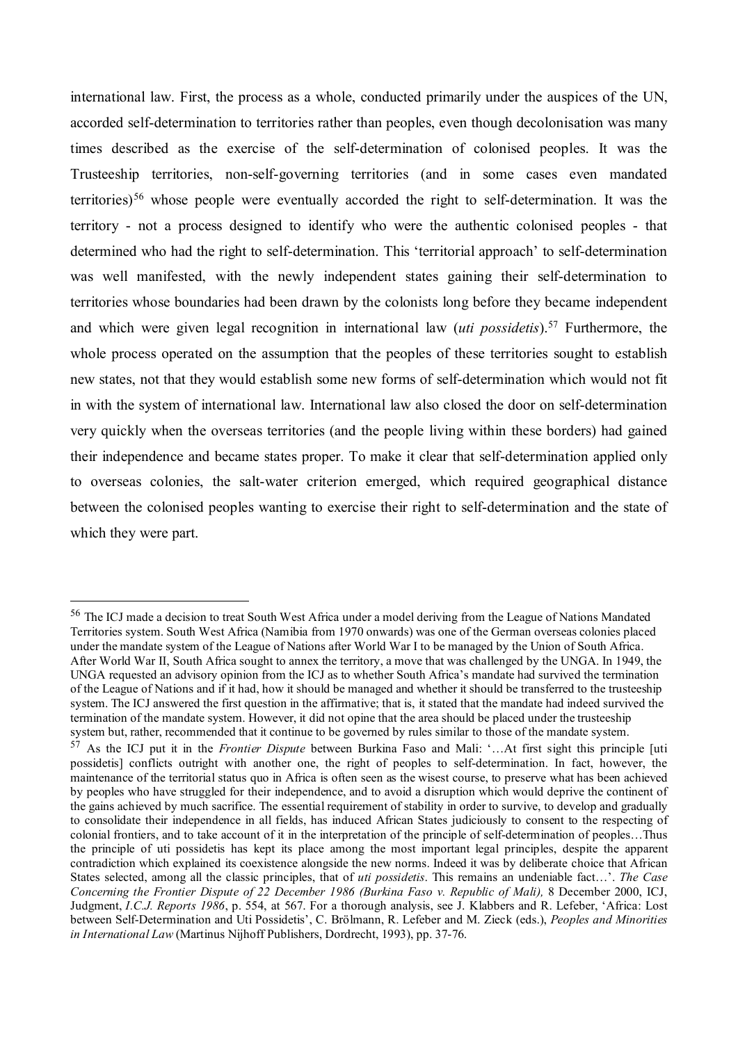international law. First, the process as a whole, conducted primarily under the auspices of the UN, accorded self-determination to territories rather than peoples, even though decolonisation was many times described as the exercise of the self-determination of colonised peoples. It was the Trusteeship territories, non-self-governing territories (and in some cases even mandated territories)<sup>[56](#page-20-0)</sup> whose people were eventually accorded the right to self-determination. It was the territory - not a process designed to identify who were the authentic colonised peoples - that determined who had the right to self-determination. This 'territorial approach' to self-determination was well manifested, with the newly independent states gaining their self-determination to territories whose boundaries had been drawn by the colonists long before they became independent and which were given legal recognition in international law *(uti possidetis*).<sup>57</sup> Furthermore, the whole process operated on the assumption that the peoples of these territories sought to establish new states, not that they would establish some new forms of self-determination which would not fit in with the system of international law. International law also closed the door on self-determination very quickly when the overseas territories (and the people living within these borders) had gained their independence and became states proper. To make it clear that self-determination applied only to overseas colonies, the salt-water criterion emerged, which required geographical distance between the colonised peoples wanting to exercise their right to self-determination and the state of which they were part.

<span id="page-20-0"></span><sup>&</sup>lt;sup>56</sup> The ICJ made a decision to treat South West Africa under a model deriving from the League of Nations Mandated Territories system. South West Africa (Namibia from 1970 onwards) was one of the German overseas colonies placed under the mandate system of the League of Nations after World War I to be managed by the Union of South Africa. After World War II, South Africa sought to annex the territory, a move that was challenged by the UNGA. In 1949, the UNGA requested an advisory opinion from the ICJ as to whether South Africa's mandate had survived the termination of the League of Nations and if it had, how it should be managed and whether it should be transferred to the trusteeship system. The ICJ answered the first question in the affirmative; that is, it stated that the mandate had indeed survived the termination of the mandate system. However, it did not opine that the area should be placed under the trusteeship

<span id="page-20-1"></span>system but, rather, recommended that it continue to be governed by rules similar to those of the mandate system.<br><sup>57</sup> As the ICJ put it in the *Frontier Dispute* between Burkina Faso and Mali: '...At first sight this princ possidetis] conflicts outright with another one, the right of peoples to self-determination. In fact, however, the maintenance of the territorial status quo in Africa is often seen as the wisest course, to preserve what has been achieved by peoples who have struggled for their independence, and to avoid a disruption which would deprive the continent of the gains achieved by much sacrifice. The essential requirement of stability in order to survive, to develop and gradually to consolidate their independence in all fields, has induced African States judiciously to consent to the respecting of colonial frontiers, and to take account of it in the interpretation of the principle of self-determination of peoples…Thus the principle of uti possidetis has kept its place among the most important legal principles, despite the apparent contradiction which explained its coexistence alongside the new norms. Indeed it was by deliberate choice that African States selected, among all the classic principles, that of *uti possidetis*. This remains an undeniable fact…'. *The Case Concerning the Frontier Dispute of 22 December 1986 (Burkina Faso v. Republic of Mali),* 8 December 2000, ICJ, Judgment, *I.C.J. Reports 1986*, p. 554, at 567. For a thorough analysis, see J. Klabbers and R. Lefeber, 'Africa: Lost between Self-Determination and Uti Possidetis', C. Brölmann, R. Lefeber and M. Zieck (eds.), *Peoples and Minorities in International Law* (Martinus Nijhoff Publishers, Dordrecht, 1993), pp. 37-76.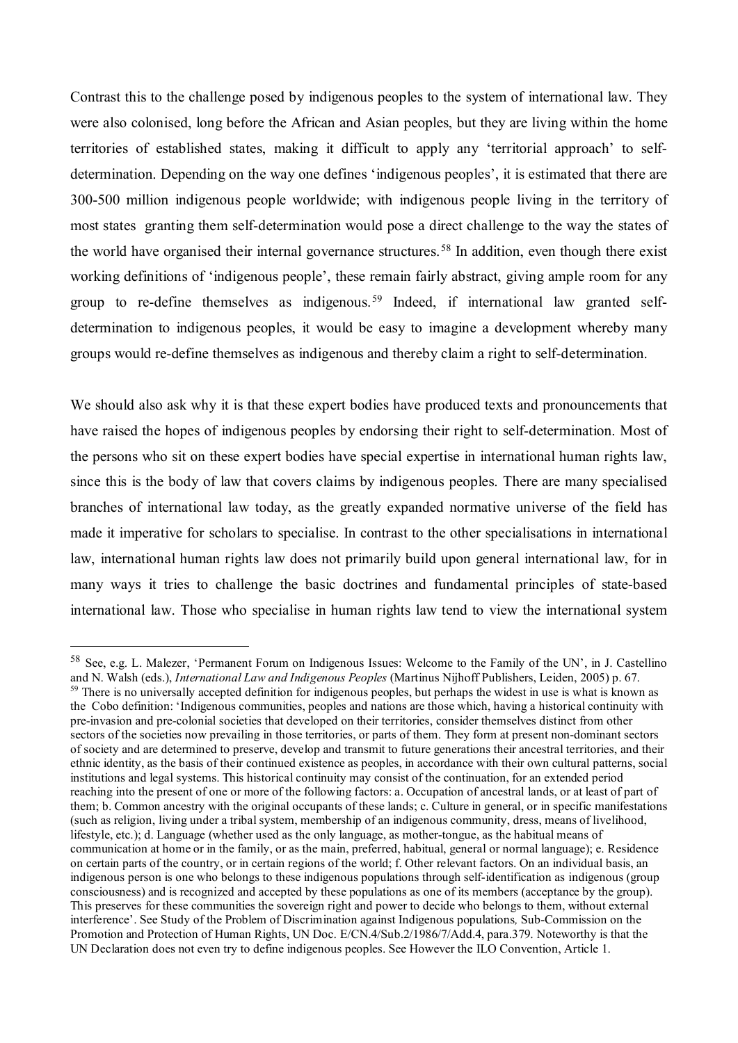Contrast this to the challenge posed by indigenous peoples to the system of international law. They were also colonised, long before the African and Asian peoples, but they are living within the home territories of established states, making it difficult to apply any 'territorial approach' to selfdetermination. Depending on the way one defines 'indigenous peoples', it is estimated that there are 300-500 million indigenous people worldwide; with indigenous people living in the territory of most states granting them self-determination would pose a direct challenge to the way the states of the world have organised their internal governance structures. [58](#page-21-0) In addition, even though there exist working definitions of 'indigenous people', these remain fairly abstract, giving ample room for any group to re-define themselves as indigenous.<sup>[59](#page-21-1)</sup> Indeed, if international law granted selfdetermination to indigenous peoples, it would be easy to imagine a development whereby many groups would re-define themselves as indigenous and thereby claim a right to self-determination.

We should also ask why it is that these expert bodies have produced texts and pronouncements that have raised the hopes of indigenous peoples by endorsing their right to self-determination. Most of the persons who sit on these expert bodies have special expertise in international human rights law, since this is the body of law that covers claims by indigenous peoples. There are many specialised branches of international law today, as the greatly expanded normative universe of the field has made it imperative for scholars to specialise. In contrast to the other specialisations in international law, international human rights law does not primarily build upon general international law, for in many ways it tries to challenge the basic doctrines and fundamental principles of state-based international law. Those who specialise in human rights law tend to view the international system

<span id="page-21-1"></span><span id="page-21-0"></span><sup>58</sup> See, e.g. L. Malezer, 'Permanent Forum on Indigenous Issues: Welcome to the Family of the UN', in J. Castellino and N. Walsh (eds.), *International Law and Indigenous Peoples* (Martinus Nijhoff Publishers, Leiden, 2005) p. 67. <sup>59</sup> There is no universally accepted definition for indigenous peoples, but perhaps the widest in use is what is known as the Cobo definition: 'Indigenous communities, peoples and nations are those which, having a historical continuity with pre-invasion and pre-colonial societies that developed on their territories, consider themselves distinct from other sectors of the societies now prevailing in those territories, or parts of them. They form at present non-dominant sectors of society and are determined to preserve, develop and transmit to future generations their ancestral territories, and their ethnic identity, as the basis of their continued existence as peoples, in accordance with their own cultural patterns, social institutions and legal systems. This historical continuity may consist of the continuation, for an extended period reaching into the present of one or more of the following factors: a. Occupation of ancestral lands, or at least of part of them; b. Common ancestry with the original occupants of these lands; c. Culture in general, or in specific manifestations (such as religion, living under a tribal system, membership of an indigenous community, dress, means of livelihood, lifestyle, etc.); d. Language (whether used as the only language, as mother-tongue, as the habitual means of communication at home or in the family, or as the main, preferred, habitual, general or normal language); e. Residence on certain parts of the country, or in certain regions of the world; f. Other relevant factors. On an individual basis, an indigenous person is one who belongs to these indigenous populations through self-identification as indigenous (group consciousness) and is recognized and accepted by these populations as one of its members (acceptance by the group). This preserves for these communities the sovereign right and power to decide who belongs to them, without external interference'. See Study of the Problem of Discrimination against Indigenous populations*,* Sub-Commission on the Promotion and Protection of Human Rights, UN Doc. E/CN.4/Sub.2/1986/7/Add.4, para.379. Noteworthy is that the UN Declaration does not even try to define indigenous peoples. See However the ILO Convention, Article 1.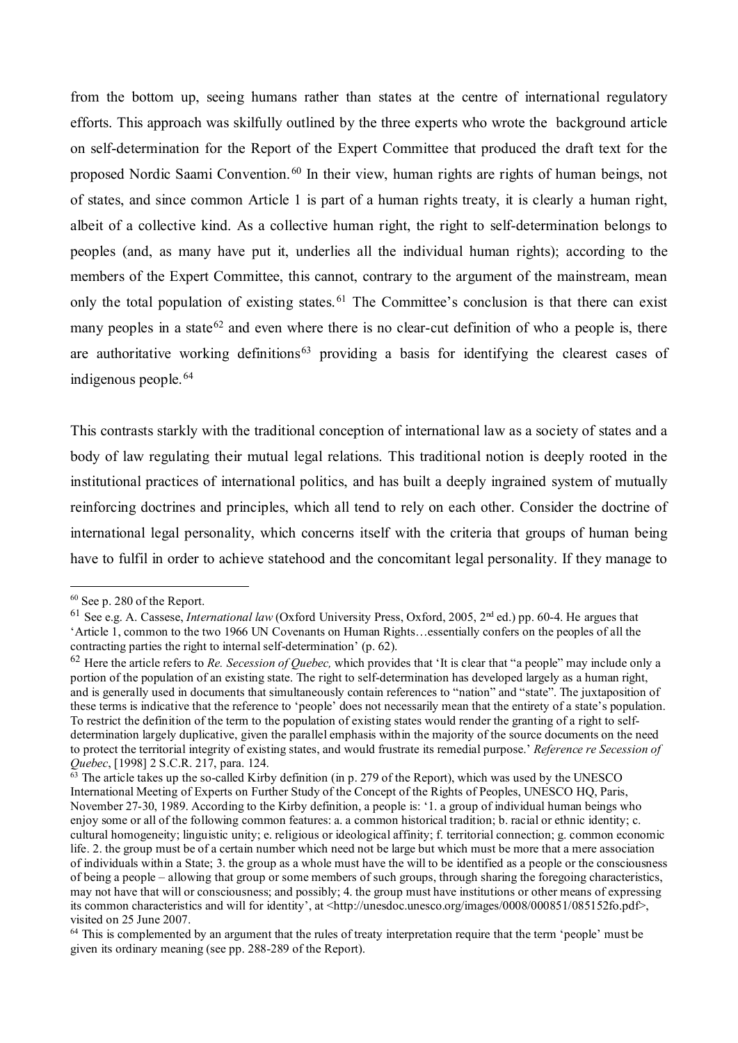from the bottom up, seeing humans rather than states at the centre of international regulatory efforts. This approach was skilfully outlined by the three experts who wrote the background article on self-determination for the Report of the Expert Committee that produced the draft text for the proposed Nordic Saami Convention. [60](#page-22-0) In their view, human rights are rights of human beings, not of states, and since common Article 1 is part of a human rights treaty, it is clearly a human right, albeit of a collective kind. As a collective human right, the right to self-determination belongs to peoples (and, as many have put it, underlies all the individual human rights); according to the members of the Expert Committee, this cannot, contrary to the argument of the mainstream, mean only the total population of existing states.<sup>[61](#page-22-1)</sup> The Committee's conclusion is that there can exist many peoples in a state<sup>[62](#page-22-2)</sup> and even where there is no clear-cut definition of who a people is, there are authoritative working definitions<sup>[63](#page-22-3)</sup> providing a basis for identifying the clearest cases of indigenous people. [64](#page-22-4)

This contrasts starkly with the traditional conception of international law as a society of states and a body of law regulating their mutual legal relations. This traditional notion is deeply rooted in the institutional practices of international politics, and has built a deeply ingrained system of mutually reinforcing doctrines and principles, which all tend to rely on each other. Consider the doctrine of international legal personality, which concerns itself with the criteria that groups of human being have to fulfil in order to achieve statehood and the concomitant legal personality. If they manage to

<span id="page-22-0"></span><sup>60</sup> See p. 280 of the Report.

<span id="page-22-1"></span><sup>61</sup> See e.g. A. Cassese, *International law* (Oxford University Press, Oxford, 2005, 2nd ed.) pp. 60-4. He argues that 'Article 1, common to the two 1966 UN Covenants on Human Rights…essentially confers on the peoples of all the contracting parties the right to internal self-determination' (p. 62).

<span id="page-22-2"></span><sup>62</sup> Here the article refers to *Re. Secession of Quebec,* which provides that 'It is clear that "a people" may include only a portion of the population of an existing state. The right to self-determination has developed largely as a human right, and is generally used in documents that simultaneously contain references to "nation" and "state". The juxtaposition of these terms is indicative that the reference to 'people' does not necessarily mean that the entirety of a state's population. To restrict the definition of the term to the population of existing states would render the granting of a right to selfdetermination largely duplicative, given the parallel emphasis within the majority of the source documents on the need to protect the territorial integrity of existing states, and would frustrate its remedial purpose.' *Reference re Secession of Quebec*, [1998] 2 S.C.R. 217, para. 124.<br><sup>63</sup> The article takes up the so-called Kirby definition (in p. 279 of the Report), which was used by the UNESCO

<span id="page-22-3"></span>International Meeting of Experts on Further Study of the Concept of the Rights of Peoples, UNESCO HQ, Paris, November 27-30, 1989. According to the Kirby definition, a people is: '1. a group of individual human beings who enjoy some or all of the following common features: a. a common historical tradition; b. racial or ethnic identity; c. cultural homogeneity; linguistic unity; e. religious or ideological affinity; f. territorial connection; g. common economic life. 2. the group must be of a certain number which need not be large but which must be more that a mere association of individuals within a State; 3. the group as a whole must have the will to be identified as a people or the consciousness of being a people – allowing that group or some members of such groups, through sharing the foregoing characteristics, may not have that will or consciousness; and possibly; 4. the group must have institutions or other means of expressing its common characteristics and will for identity', at <http://unesdoc.unesco.org/images/0008/000851/085152fo.pdf>, visited on 25 June 2007.

<span id="page-22-4"></span> $64$  This is complemented by an argument that the rules of treaty interpretation require that the term 'people' must be given its ordinary meaning (see pp. 288-289 of the Report).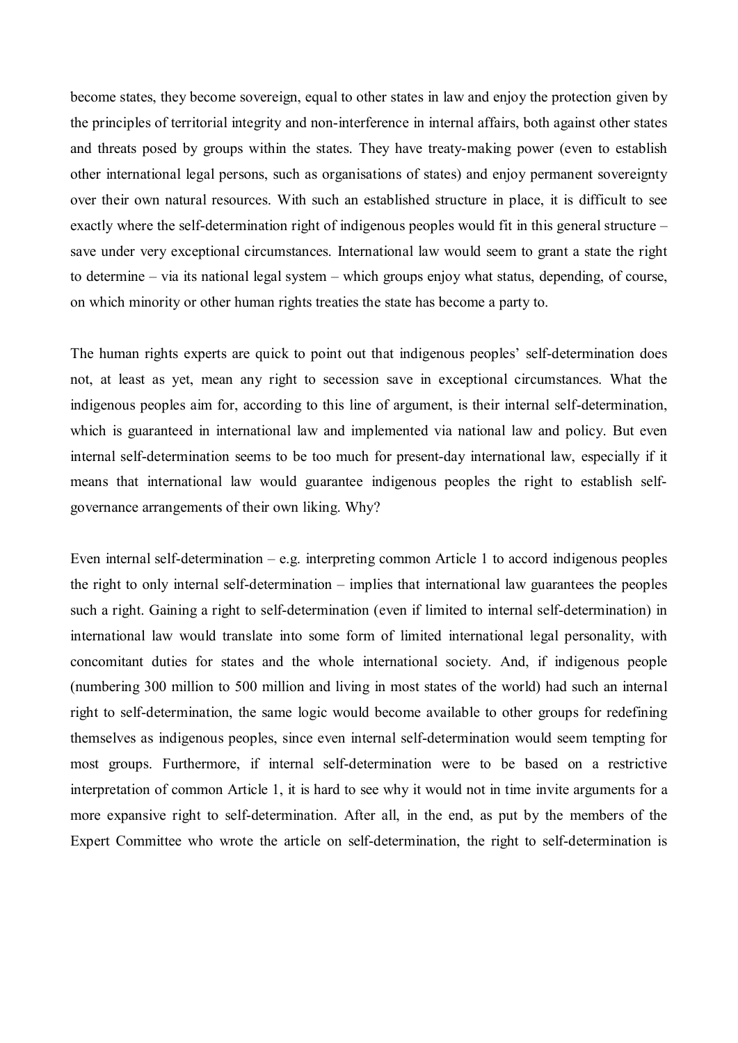become states, they become sovereign, equal to other states in law and enjoy the protection given by the principles of territorial integrity and non-interference in internal affairs, both against other states and threats posed by groups within the states. They have treaty-making power (even to establish other international legal persons, such as organisations of states) and enjoy permanent sovereignty over their own natural resources. With such an established structure in place, it is difficult to see exactly where the self-determination right of indigenous peoples would fit in this general structure – save under very exceptional circumstances. International law would seem to grant a state the right to determine – via its national legal system – which groups enjoy what status, depending, of course, on which minority or other human rights treaties the state has become a party to.

The human rights experts are quick to point out that indigenous peoples' self-determination does not, at least as yet, mean any right to secession save in exceptional circumstances. What the indigenous peoples aim for, according to this line of argument, is their internal self-determination, which is guaranteed in international law and implemented via national law and policy. But even internal self-determination seems to be too much for present-day international law, especially if it means that international law would guarantee indigenous peoples the right to establish selfgovernance arrangements of their own liking. Why?

Even internal self-determination – e.g. interpreting common Article 1 to accord indigenous peoples the right to only internal self-determination – implies that international law guarantees the peoples such a right. Gaining a right to self-determination (even if limited to internal self-determination) in international law would translate into some form of limited international legal personality, with concomitant duties for states and the whole international society. And, if indigenous people (numbering 300 million to 500 million and living in most states of the world) had such an internal right to self-determination, the same logic would become available to other groups for redefining themselves as indigenous peoples, since even internal self-determination would seem tempting for most groups. Furthermore, if internal self-determination were to be based on a restrictive interpretation of common Article 1, it is hard to see why it would not in time invite arguments for a more expansive right to self-determination. After all, in the end, as put by the members of the Expert Committee who wrote the article on self-determination, the right to self-determination is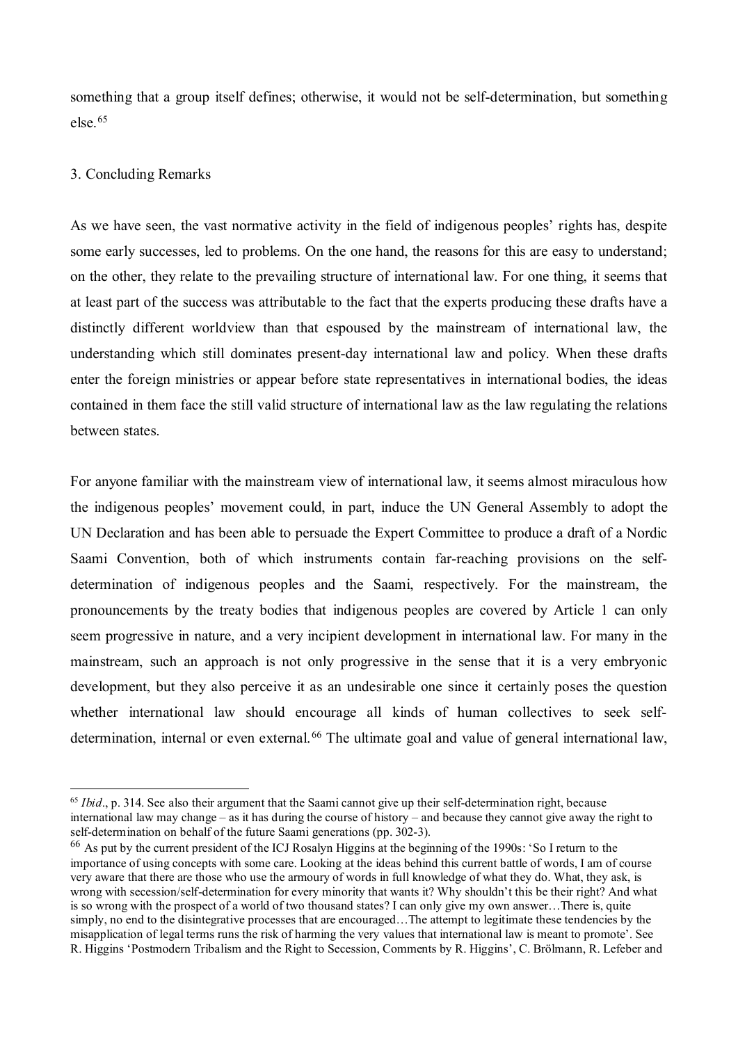something that a group itself defines; otherwise, it would not be self-determination, but something else.[65](#page-24-0) 

## 3. Concluding Remarks

 $\overline{a}$ 

As we have seen, the vast normative activity in the field of indigenous peoples' rights has, despite some early successes, led to problems. On the one hand, the reasons for this are easy to understand; on the other, they relate to the prevailing structure of international law. For one thing, it seems that at least part of the success was attributable to the fact that the experts producing these drafts have a distinctly different worldview than that espoused by the mainstream of international law, the understanding which still dominates present-day international law and policy. When these drafts enter the foreign ministries or appear before state representatives in international bodies, the ideas contained in them face the still valid structure of international law as the law regulating the relations between states.

For anyone familiar with the mainstream view of international law, it seems almost miraculous how the indigenous peoples' movement could, in part, induce the UN General Assembly to adopt the UN Declaration and has been able to persuade the Expert Committee to produce a draft of a Nordic Saami Convention, both of which instruments contain far-reaching provisions on the selfdetermination of indigenous peoples and the Saami, respectively. For the mainstream, the pronouncements by the treaty bodies that indigenous peoples are covered by Article 1 can only seem progressive in nature, and a very incipient development in international law. For many in the mainstream, such an approach is not only progressive in the sense that it is a very embryonic development, but they also perceive it as an undesirable one since it certainly poses the question whether international law should encourage all kinds of human collectives to seek self-determination, internal or even external.<sup>[66](#page-24-1)</sup> The ultimate goal and value of general international law,

<span id="page-24-0"></span><sup>65</sup> *Ibid*., p. 314. See also their argument that the Saami cannot give up their self-determination right, because international law may change – as it has during the course of history – and because they cannot give away the right to self-determination on behalf of the future Saami generations (pp. 302-3).

<span id="page-24-1"></span><sup>66</sup> As put by the current president of the ICJ Rosalyn Higgins at the beginning of the 1990s: 'So I return to the importance of using concepts with some care. Looking at the ideas behind this current battle of words, I am of course very aware that there are those who use the armoury of words in full knowledge of what they do. What, they ask, is wrong with secession/self-determination for every minority that wants it? Why shouldn't this be their right? And what is so wrong with the prospect of a world of two thousand states? I can only give my own answer…There is, quite simply, no end to the disintegrative processes that are encouraged...The attempt to legitimate these tendencies by the misapplication of legal terms runs the risk of harming the very values that international law is meant to promote'. See R. Higgins 'Postmodern Tribalism and the Right to Secession, Comments by R. Higgins', C. Brölmann, R. Lefeber and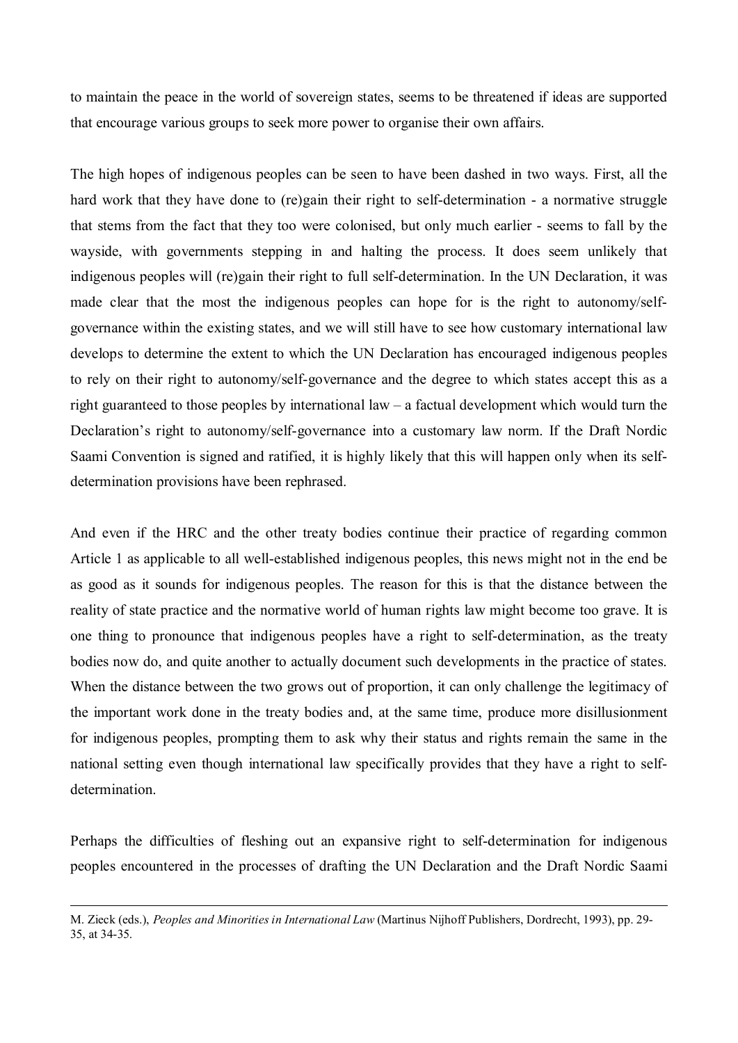to maintain the peace in the world of sovereign states, seems to be threatened if ideas are supported that encourage various groups to seek more power to organise their own affairs.

The high hopes of indigenous peoples can be seen to have been dashed in two ways. First, all the hard work that they have done to (re)gain their right to self-determination - a normative struggle that stems from the fact that they too were colonised, but only much earlier - seems to fall by the wayside, with governments stepping in and halting the process. It does seem unlikely that indigenous peoples will (re)gain their right to full self-determination. In the UN Declaration, it was made clear that the most the indigenous peoples can hope for is the right to autonomy/selfgovernance within the existing states, and we will still have to see how customary international law develops to determine the extent to which the UN Declaration has encouraged indigenous peoples to rely on their right to autonomy/self-governance and the degree to which states accept this as a right guaranteed to those peoples by international law – a factual development which would turn the Declaration's right to autonomy/self-governance into a customary law norm. If the Draft Nordic Saami Convention is signed and ratified, it is highly likely that this will happen only when its selfdetermination provisions have been rephrased.

And even if the HRC and the other treaty bodies continue their practice of regarding common Article 1 as applicable to all well-established indigenous peoples, this news might not in the end be as good as it sounds for indigenous peoples. The reason for this is that the distance between the reality of state practice and the normative world of human rights law might become too grave. It is one thing to pronounce that indigenous peoples have a right to self-determination, as the treaty bodies now do, and quite another to actually document such developments in the practice of states. When the distance between the two grows out of proportion, it can only challenge the legitimacy of the important work done in the treaty bodies and, at the same time, produce more disillusionment for indigenous peoples, prompting them to ask why their status and rights remain the same in the national setting even though international law specifically provides that they have a right to selfdetermination.

Perhaps the difficulties of fleshing out an expansive right to self-determination for indigenous peoples encountered in the processes of drafting the UN Declaration and the Draft Nordic Saami

-

M. Zieck (eds.), *Peoples and Minorities in International Law* (Martinus Nijhoff Publishers, Dordrecht, 1993), pp. 29- 35, at 34-35.